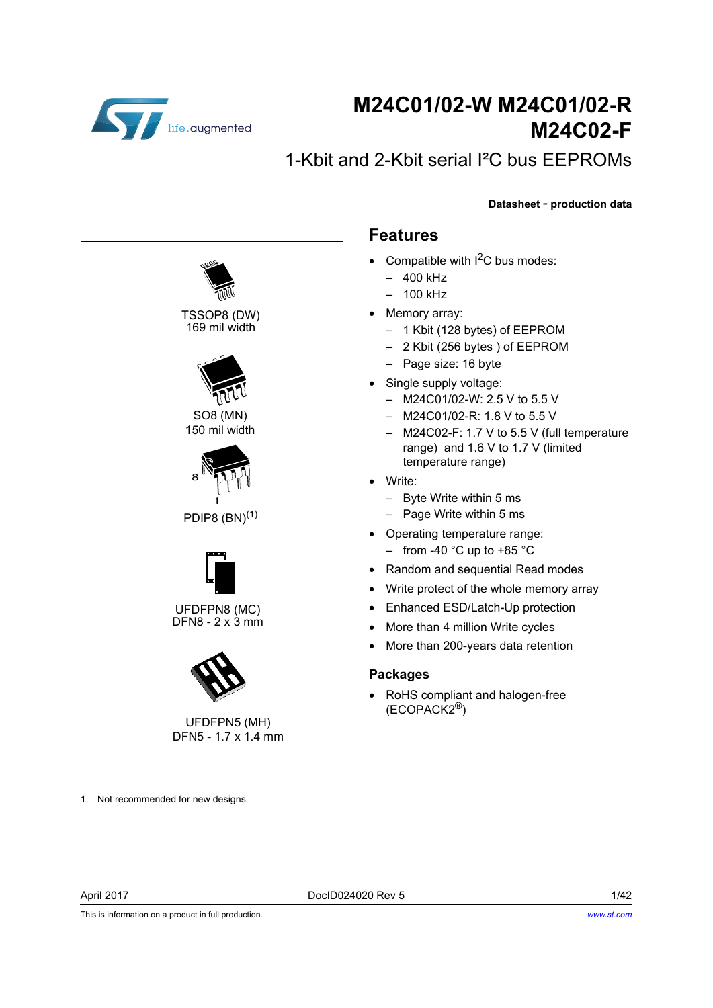

# **M24C01/02-W M24C01/02-R M24C02-F**

**Datasheet** - **production data**

# 1-Kbit and 2-Kbit serial I²C bus EEPROMs

8 1 PDIP8  $(BN)^{(1)}$ TSSOP8 (DW) 169 mil width UFDFPN8 (MC)  $DFN8 - 2 \times 3$  mm SO8 (MN) 150 mil width UFDFPN5 (MH) DFN5 - 1.7 x 1.4 mm 1. Not recommended for new designs

### **Features**

- Compatible with  $I^2C$  bus modes:
	- 400 kHz
	- 100 kHz
	- Memory array:
		- 1 Kbit (128 bytes) of EEPROM
		- 2 Kbit (256 bytes ) of EEPROM
	- Page size: 16 byte
- Single supply voltage:
	- M24C01/02-W: 2.5 V to 5.5 V
	- M24C01/02-R: 1.8 V to 5.5 V
	- M24C02-F: 1.7 V to 5.5 V (full temperature range) and 1.6 V to 1.7 V (limited temperature range)
- Write:
	- Byte Write within 5 ms
	- Page Write within 5 ms
- Operating temperature range:
	- from -40  $^{\circ}$ C up to +85  $^{\circ}$ C
- Random and sequential Read modes
- Write protect of the whole memory array
- Enhanced ESD/Latch-Up protection
- More than 4 million Write cycles
- More than 200-years data retention

#### **Packages**

• RoHS compliant and halogen-free (ECOPACK2®)

This is information on a product in full production.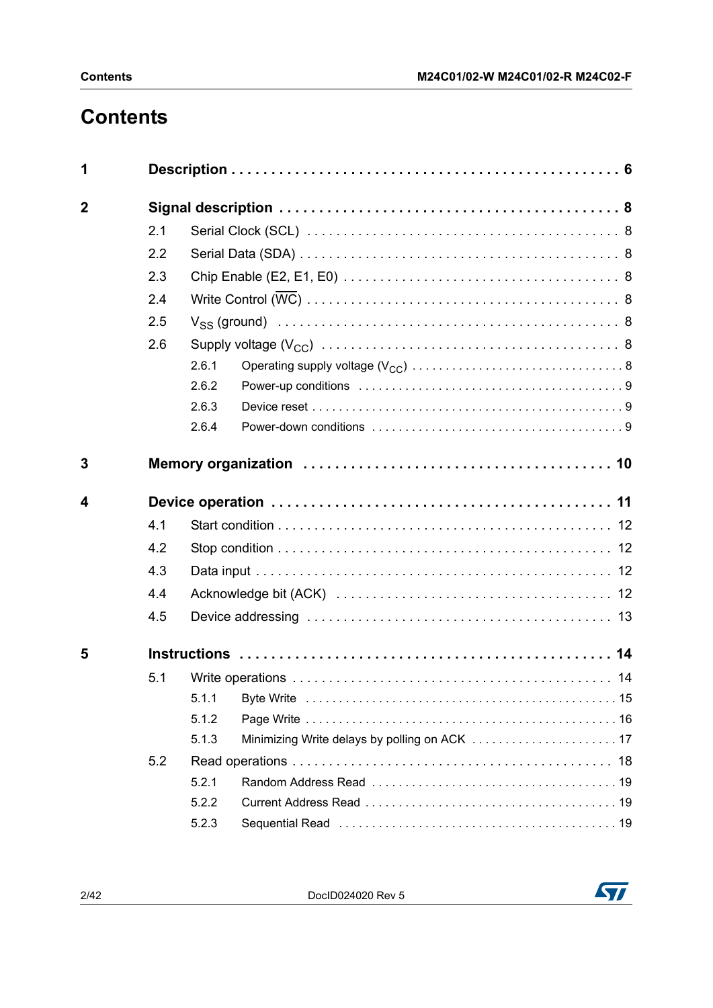# **Contents**

| 1           |     |       |  |  |  |  |  |  |
|-------------|-----|-------|--|--|--|--|--|--|
| $\mathbf 2$ |     |       |  |  |  |  |  |  |
|             | 2.1 |       |  |  |  |  |  |  |
|             | 2.2 |       |  |  |  |  |  |  |
|             | 2.3 |       |  |  |  |  |  |  |
|             | 2.4 |       |  |  |  |  |  |  |
|             | 2.5 |       |  |  |  |  |  |  |
|             | 2.6 |       |  |  |  |  |  |  |
|             |     | 2.6.1 |  |  |  |  |  |  |
|             |     | 2.6.2 |  |  |  |  |  |  |
|             |     | 2.6.3 |  |  |  |  |  |  |
|             |     | 2.6.4 |  |  |  |  |  |  |
| 3           |     |       |  |  |  |  |  |  |
| 4           |     |       |  |  |  |  |  |  |
|             |     |       |  |  |  |  |  |  |
|             | 4.1 |       |  |  |  |  |  |  |
|             | 4.2 |       |  |  |  |  |  |  |
|             | 4.3 |       |  |  |  |  |  |  |
|             | 4.4 |       |  |  |  |  |  |  |
|             | 4.5 |       |  |  |  |  |  |  |
| 5           |     |       |  |  |  |  |  |  |
|             | 5.1 |       |  |  |  |  |  |  |
|             |     | 5.1.1 |  |  |  |  |  |  |
|             |     | 5.1.2 |  |  |  |  |  |  |
|             |     | 5.1.3 |  |  |  |  |  |  |
|             | 5.2 |       |  |  |  |  |  |  |
|             |     | 5.2.1 |  |  |  |  |  |  |
|             |     | 5.2.2 |  |  |  |  |  |  |
|             |     | 5.2.3 |  |  |  |  |  |  |

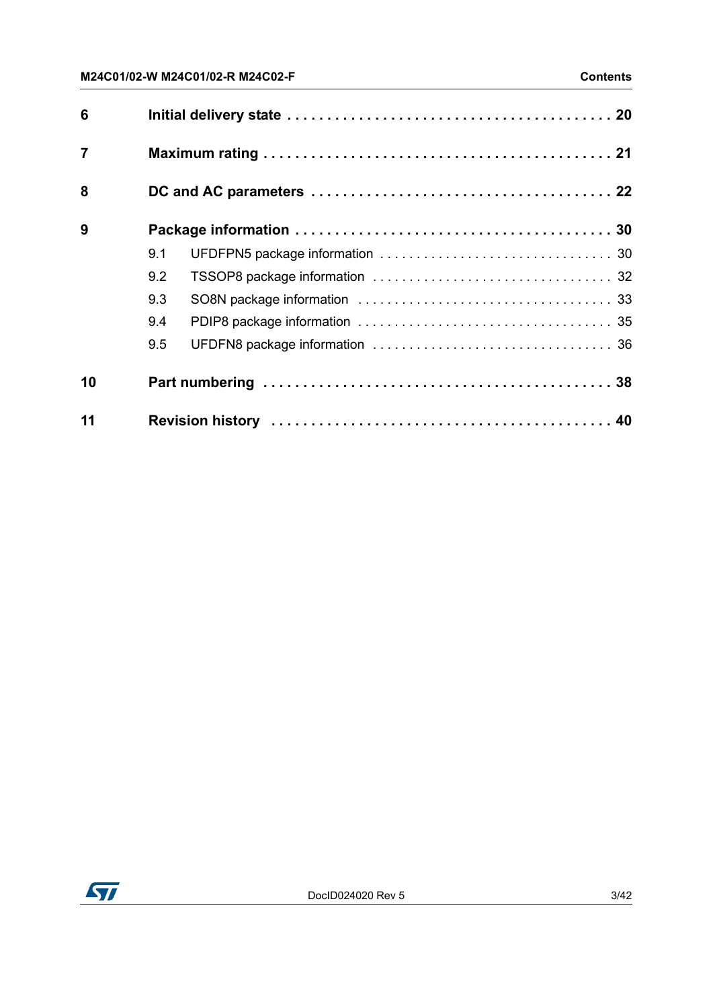| 6              |     |  |  |  |  |  |  |
|----------------|-----|--|--|--|--|--|--|
| $\overline{7}$ |     |  |  |  |  |  |  |
| 8              |     |  |  |  |  |  |  |
| 9              |     |  |  |  |  |  |  |
|                | 9.1 |  |  |  |  |  |  |
|                | 9.2 |  |  |  |  |  |  |
|                | 9.3 |  |  |  |  |  |  |
|                | 9.4 |  |  |  |  |  |  |
|                | 9.5 |  |  |  |  |  |  |
| 10             |     |  |  |  |  |  |  |
| 11             |     |  |  |  |  |  |  |

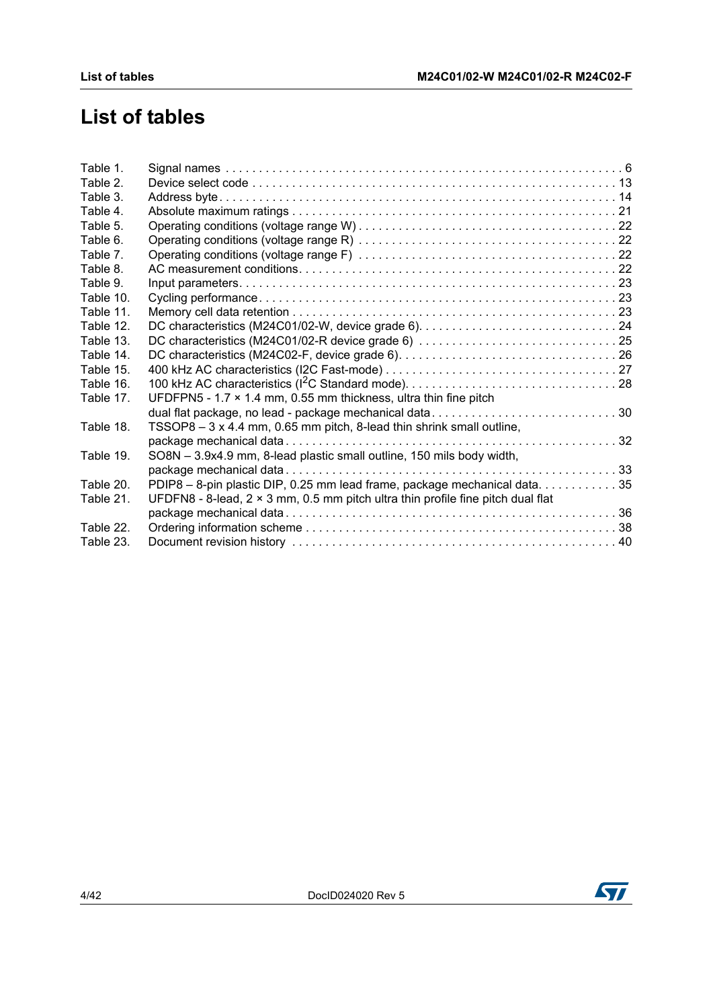# **List of tables**

| Table 1.  |                                                                                        |  |
|-----------|----------------------------------------------------------------------------------------|--|
| Table 2.  |                                                                                        |  |
| Table 3.  |                                                                                        |  |
| Table 4.  |                                                                                        |  |
| Table 5.  |                                                                                        |  |
| Table 6.  |                                                                                        |  |
| Table 7.  |                                                                                        |  |
| Table 8.  |                                                                                        |  |
| Table 9.  |                                                                                        |  |
| Table 10. |                                                                                        |  |
| Table 11. |                                                                                        |  |
| Table 12. |                                                                                        |  |
| Table 13. |                                                                                        |  |
| Table 14. |                                                                                        |  |
| Table 15. |                                                                                        |  |
| Table 16. |                                                                                        |  |
| Table 17. | UFDFPN5 - 1.7 $\times$ 1.4 mm, 0.55 mm thickness, ultra thin fine pitch                |  |
|           | dual flat package, no lead - package mechanical data30                                 |  |
| Table 18. | TSSOP8 – 3 x 4.4 mm, 0.65 mm pitch, 8-lead thin shrink small outline,                  |  |
|           |                                                                                        |  |
| Table 19. | SO8N - 3.9x4.9 mm, 8-lead plastic small outline, 150 mils body width,                  |  |
|           |                                                                                        |  |
| Table 20. | PDIP8 - 8-pin plastic DIP, 0.25 mm lead frame, package mechanical data35               |  |
| Table 21. | UFDFN8 - 8-lead, $2 \times 3$ mm, 0.5 mm pitch ultra thin profile fine pitch dual flat |  |
|           |                                                                                        |  |
| Table 22. |                                                                                        |  |
| Table 23. |                                                                                        |  |

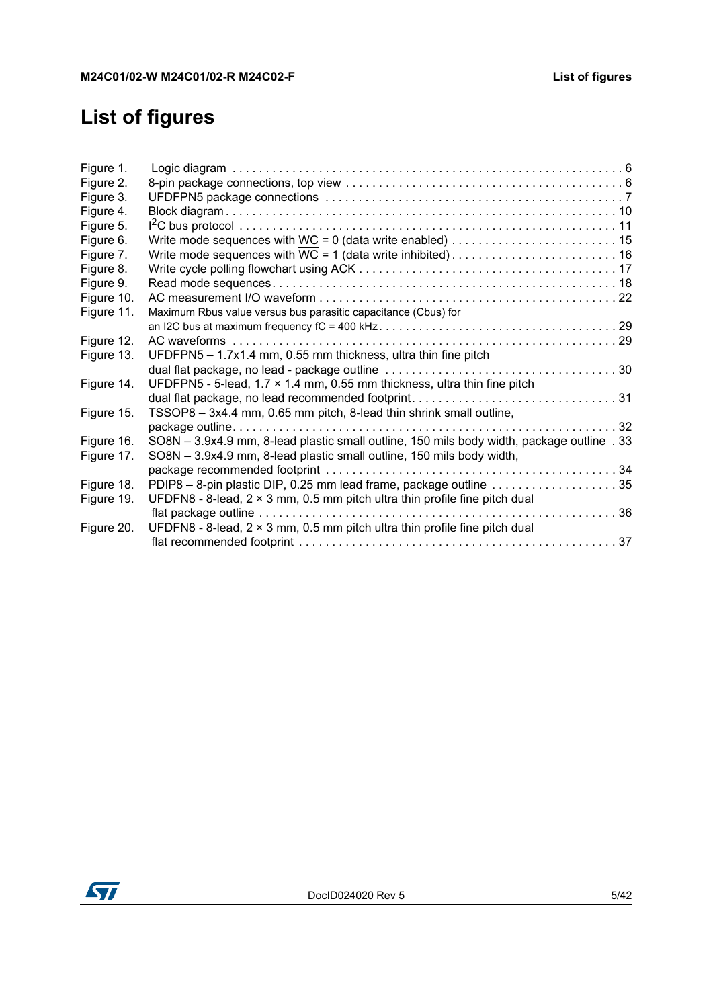# **List of figures**

| Figure 1.  |                                                                                            |  |
|------------|--------------------------------------------------------------------------------------------|--|
| Figure 2.  |                                                                                            |  |
| Figure 3.  |                                                                                            |  |
| Figure 4.  |                                                                                            |  |
| Figure 5.  |                                                                                            |  |
| Figure 6.  |                                                                                            |  |
| Figure 7.  |                                                                                            |  |
| Figure 8.  |                                                                                            |  |
| Figure 9.  |                                                                                            |  |
| Figure 10. |                                                                                            |  |
| Figure 11. | Maximum Rbus value versus bus parasitic capacitance (Cbus) for                             |  |
|            |                                                                                            |  |
| Figure 12. |                                                                                            |  |
| Figure 13. | UFDFPN5 - 1.7x1.4 mm, 0.55 mm thickness, ultra thin fine pitch                             |  |
|            |                                                                                            |  |
| Figure 14. | UFDFPN5 - 5-lead, $1.7 \times 1.4$ mm, 0.55 mm thickness, ultra thin fine pitch            |  |
|            | dual flat package, no lead recommended footprint31                                         |  |
| Figure 15. | TSSOP8 - 3x4.4 mm, 0.65 mm pitch, 8-lead thin shrink small outline,                        |  |
|            |                                                                                            |  |
| Figure 16. | SO8N - 3.9x4.9 mm, 8-lead plastic small outline, 150 mils body width, package outline . 33 |  |
| Figure 17. | SO8N - 3.9x4.9 mm, 8-lead plastic small outline, 150 mils body width,                      |  |
|            |                                                                                            |  |
| Figure 18. | PDIP8 - 8-pin plastic DIP, 0.25 mm lead frame, package outline 35                          |  |
| Figure 19. | UFDFN8 - 8-lead, $2 \times 3$ mm, 0.5 mm pitch ultra thin profile fine pitch dual          |  |
|            |                                                                                            |  |
| Figure 20. | UFDFN8 - 8-lead, $2 \times 3$ mm, 0.5 mm pitch ultra thin profile fine pitch dual          |  |
|            |                                                                                            |  |

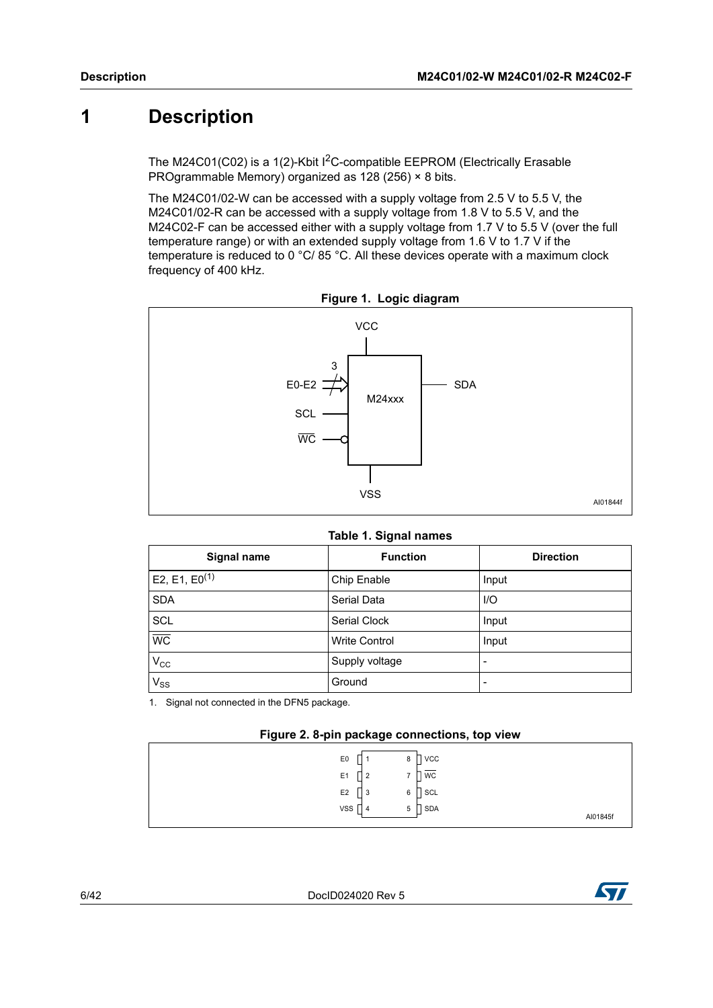# <span id="page-5-0"></span>**1 Description**

The M24C01(C02) is a 1(2)-Kbit I<sup>2</sup>C-compatible EEPROM (Electrically Erasable PROgrammable Memory) organized as 128 (256) × 8 bits.

The M24C01/02-W can be accessed with a supply voltage from 2.5 V to 5.5 V, the M24C01/02-R can be accessed with a supply voltage from 1.8 V to 5.5 V, and the M24C02-F can be accessed either with a supply voltage from 1.7 V to 5.5 V (over the full temperature range) or with an extended supply voltage from 1.6 V to 1.7 V if the temperature is reduced to 0 °C/ 85 °C. All these devices operate with a maximum clock frequency of 400 kHz.

<span id="page-5-2"></span>

**Figure 1. Logic diagram**

|  |  |  | Table 1. Signal names |
|--|--|--|-----------------------|
|--|--|--|-----------------------|

<span id="page-5-1"></span>

| Signal name        | <b>Function</b>      | <b>Direction</b> |
|--------------------|----------------------|------------------|
| $E2, E1, E0^{(1)}$ | Chip Enable          | Input            |
| <b>SDA</b>         | Serial Data          | $U$              |
| <b>SCL</b>         | Serial Clock         | Input            |
| $\overline{WC}$    | <b>Write Control</b> | Input            |
| $V_{\rm CC}$       | Supply voltage       |                  |
| $V_{SS}$           | Ground               |                  |

1. Signal not connected in the DFN5 package.

<span id="page-5-3"></span>

| <b>VCC</b><br>E <sub>0</sub><br>8  |          |
|------------------------------------|----------|
| WC<br>E <sub>1</sub>               |          |
| E <sub>2</sub><br>SCL<br>6<br>N    |          |
| <b>VSS</b><br><b>SDA</b><br>5<br>4 | AI01845f |
|                                    |          |

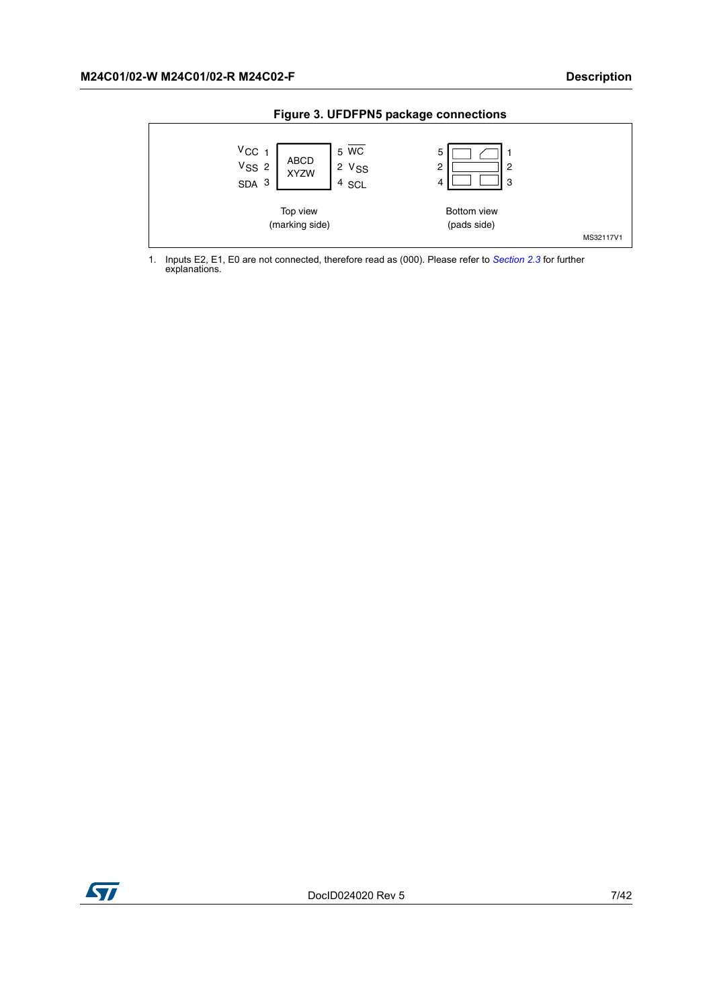<span id="page-6-0"></span>

**Figure 3. UFDFPN5 package connections**

1. Inputs E2, E1, E0 are not connected, therefore read as (000). Please refer to *Section 2.3* for further explanations.

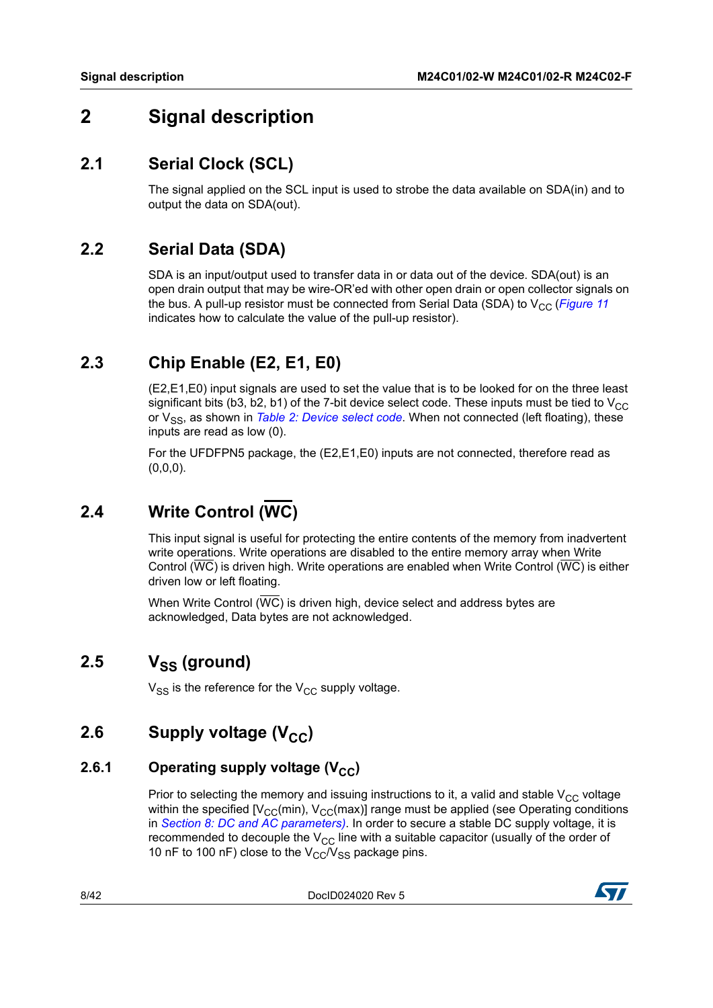# <span id="page-7-0"></span>**2 Signal description**

### <span id="page-7-1"></span>**2.1 Serial Clock (SCL)**

The signal applied on the SCL input is used to strobe the data available on SDA(in) and to output the data on SDA(out).

### <span id="page-7-2"></span>**2.2 Serial Data (SDA)**

SDA is an input/output used to transfer data in or data out of the device. SDA(out) is an open drain output that may be wire-OR'ed with other open drain or open collector signals on the bus. A pull-up resistor must be connected from Serial Data (SDA) to  $V_{CC}$  (*[Figure](#page-28-0) 11* indicates how to calculate the value of the pull-up resistor).

# <span id="page-7-3"></span>**2.3 Chip Enable (E2, E1, E0)**

(E2,E1,E0) input signals are used to set the value that is to be looked for on the three least significant bits (b3, b2, b1) of the 7-bit device select code. These inputs must be tied to  $V_{CC}$ or V<sub>SS</sub>, as shown in *Table [2: Device select code](#page-12-1)*. When not connected (left floating), these inputs are read as low (0).

For the UFDFPN5 package, the (E2,E1,E0) inputs are not connected, therefore read as (0,0,0).

# <span id="page-7-4"></span>**2.4 Write Control (WC)**

This input signal is useful for protecting the entire contents of the memory from inadvertent write operations. Write operations are disabled to the entire memory array when Write Control (WC) is driven high. Write operations are enabled when Write Control (WC) is either driven low or left floating.

When Write Control ( $\overline{WC}$ ) is driven high, device select and address bytes are acknowledged, Data bytes are not acknowledged.

# <span id="page-7-5"></span>2.5 V<sub>SS</sub> (ground)

 $V_{SS}$  is the reference for the  $V_{CC}$  supply voltage.

# <span id="page-7-6"></span>**2.6** Supply voltage (V<sub>CC</sub>)

#### <span id="page-7-7"></span>**2.6.1** Operating supply voltage (V<sub>CC</sub>)

Prior to selecting the memory and issuing instructions to it, a valid and stable  $V_{CC}$  voltage within the specified  $[V_{CC}(min), V_{CC}(max)]$  range must be applied (see Operating conditions in *Section [8: DC and AC parameters](#page-21-0))*. In order to secure a stable DC supply voltage, it is recommended to decouple the  $V_{CC}$  line with a suitable capacitor (usually of the order of 10 nF to 100 nF) close to the  $V_{CC}/V_{SS}$  package pins.

8/42 DocID024020 Rev 5

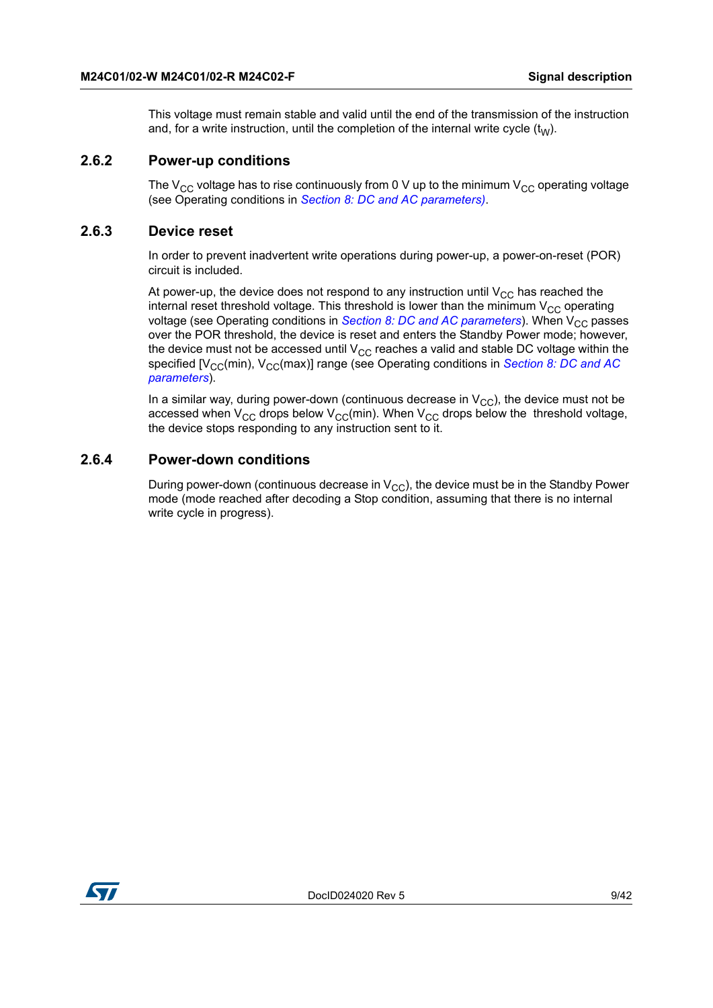This voltage must remain stable and valid until the end of the transmission of the instruction and, for a write instruction, until the completion of the internal write cycle  $(t<sub>W</sub>)$ .

#### <span id="page-8-0"></span>**2.6.2 Power-up conditions**

The  $V_{CC}$  voltage has to rise continuously from 0 V up to the minimum  $V_{CC}$  operating voltage (see Operating conditions in *Section [8: DC and AC parameters](#page-21-0))*.

#### <span id="page-8-1"></span>**2.6.3 Device reset**

In order to prevent inadvertent write operations during power-up, a power-on-reset (POR) circuit is included.

At power-up, the device does not respond to any instruction until  $V_{CC}$  has reached the internal reset threshold voltage. This threshold is lower than the minimum  $V_{CC}$  operating voltage (see Operating conditions in *Section [8: DC and AC parameters](#page-21-0)*). When V<sub>CC</sub> passes over the POR threshold, the device is reset and enters the Standby Power mode; however, the device must not be accessed until  $V_{CC}$  reaches a valid and stable DC voltage within the specified [V<sub>CC</sub>(min), V<sub>CC</sub>(max)] range (see Operating conditions in *Section 8: DC and AC [parameters](#page-21-0)*).

In a similar way, during power-down (continuous decrease in  $V_{CC}$ ), the device must not be accessed when  $V_{CC}$  drops below  $V_{CC}(min)$ . When  $V_{CC}$  drops below the threshold voltage, the device stops responding to any instruction sent to it.

#### <span id="page-8-2"></span>**2.6.4 Power-down conditions**

During power-down (continuous decrease in  $V_{CC}$ ), the device must be in the Standby Power mode (mode reached after decoding a Stop condition, assuming that there is no internal write cycle in progress).

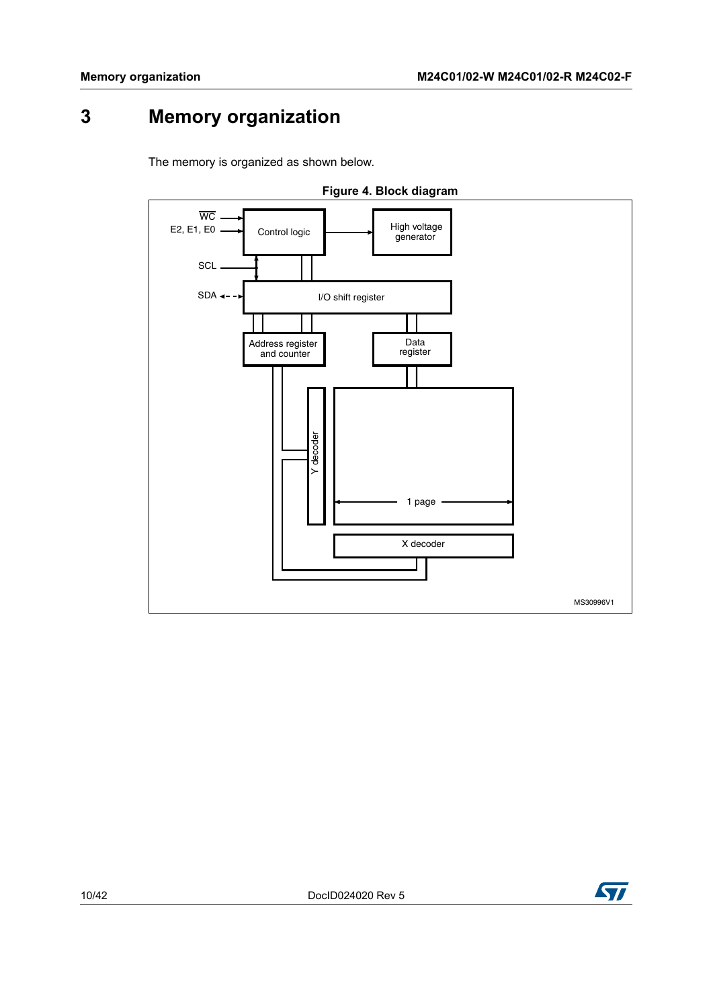# <span id="page-9-0"></span>**3 Memory organization**

<span id="page-9-1"></span>The memory is organized as shown below.



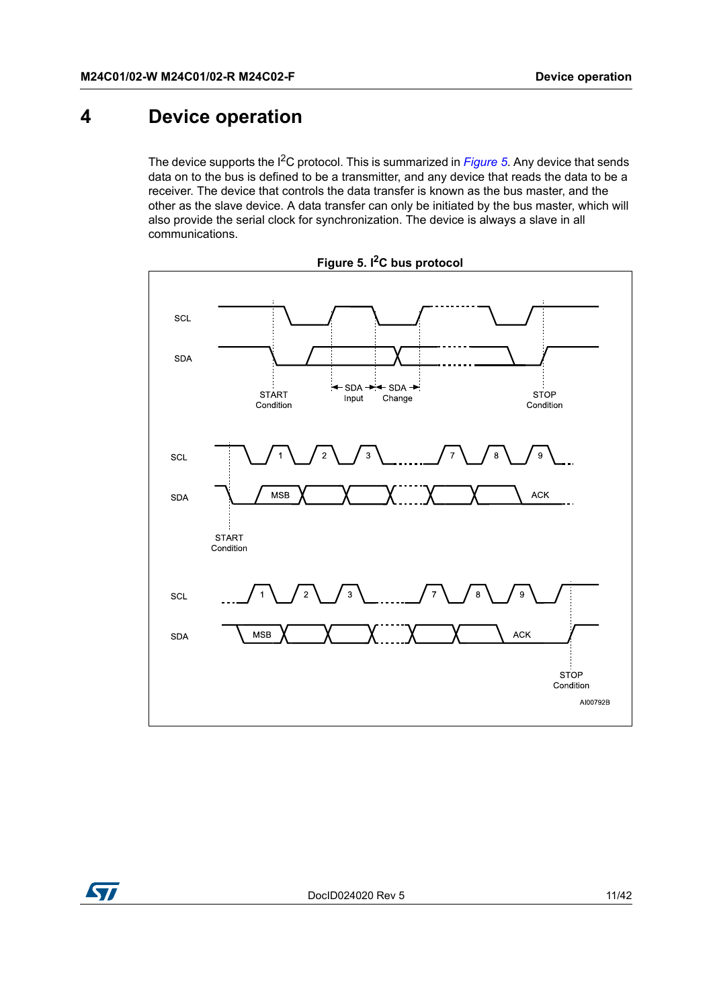# <span id="page-10-0"></span>**4 Device operation**

The device supports the I<sup>2</sup>C protocol. This is summarized in *[Figure](#page-10-1)* 5. Any device that sends data on to the bus is defined to be a transmitter, and any device that reads the data to be a receiver. The device that controls the data transfer is known as the bus master, and the other as the slave device. A data transfer can only be initiated by the bus master, which will also provide the serial clock for synchronization. The device is always a slave in all communications.

<span id="page-10-1"></span>



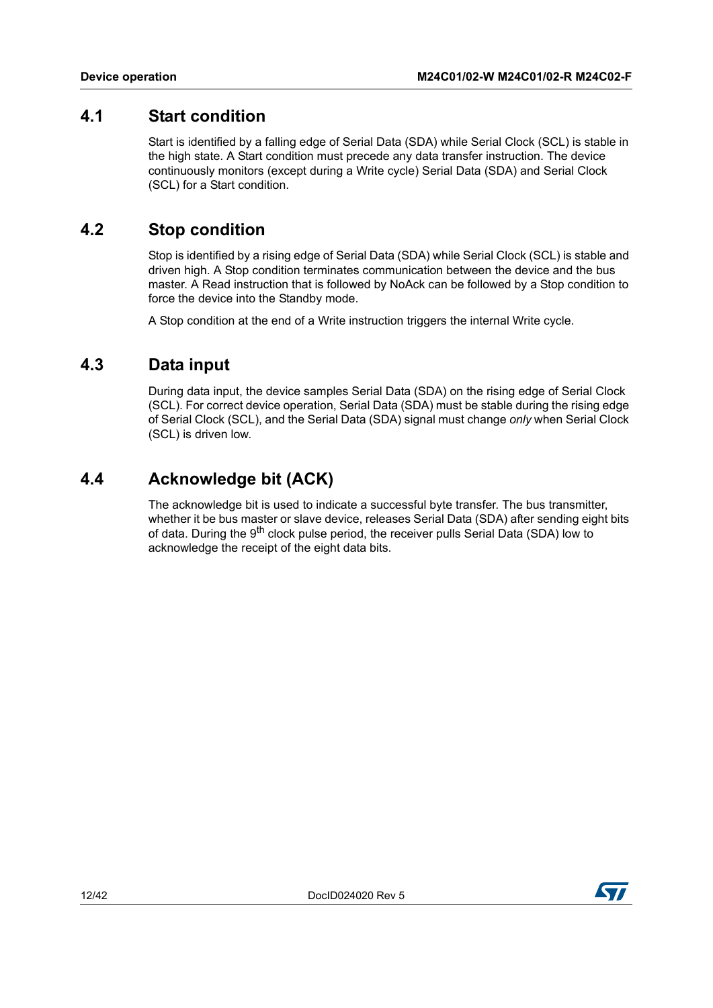### <span id="page-11-0"></span>**4.1 Start condition**

Start is identified by a falling edge of Serial Data (SDA) while Serial Clock (SCL) is stable in the high state. A Start condition must precede any data transfer instruction. The device continuously monitors (except during a Write cycle) Serial Data (SDA) and Serial Clock (SCL) for a Start condition.

### <span id="page-11-1"></span>**4.2 Stop condition**

Stop is identified by a rising edge of Serial Data (SDA) while Serial Clock (SCL) is stable and driven high. A Stop condition terminates communication between the device and the bus master. A Read instruction that is followed by NoAck can be followed by a Stop condition to force the device into the Standby mode.

A Stop condition at the end of a Write instruction triggers the internal Write cycle.

### <span id="page-11-2"></span>**4.3 Data input**

During data input, the device samples Serial Data (SDA) on the rising edge of Serial Clock (SCL). For correct device operation, Serial Data (SDA) must be stable during the rising edge of Serial Clock (SCL), and the Serial Data (SDA) signal must change *only* when Serial Clock (SCL) is driven low.

# <span id="page-11-3"></span>**4.4 Acknowledge bit (ACK)**

The acknowledge bit is used to indicate a successful byte transfer. The bus transmitter, whether it be bus master or slave device, releases Serial Data (SDA) after sending eight bits of data. During the 9<sup>th</sup> clock pulse period, the receiver pulls Serial Data (SDA) low to acknowledge the receipt of the eight data bits.

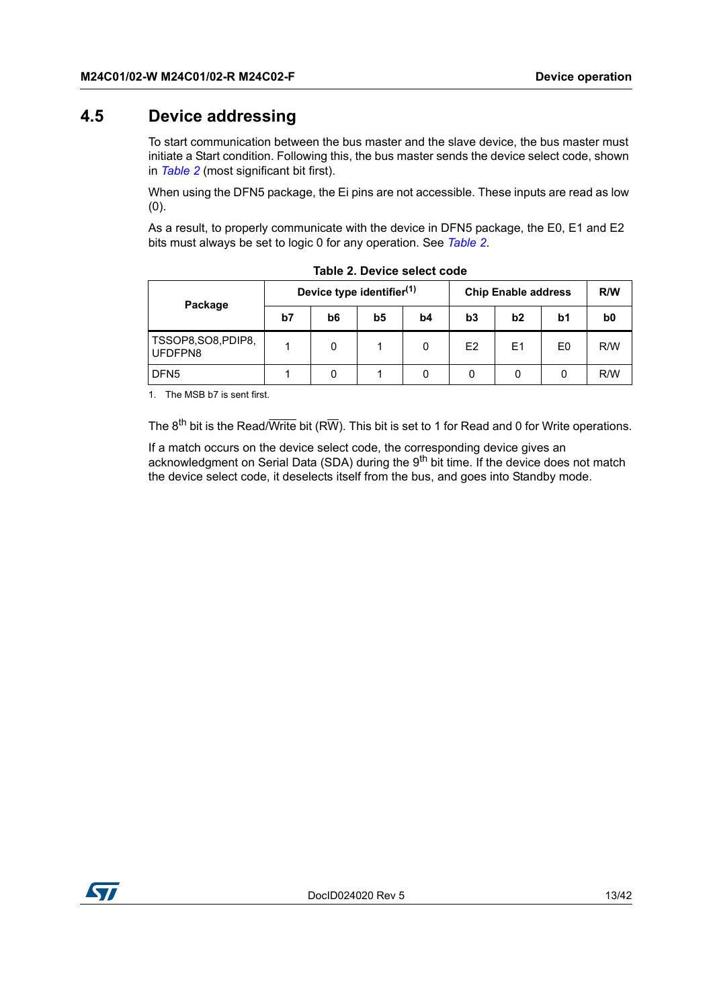### <span id="page-12-0"></span>**4.5 Device addressing**

To start communication between the bus master and the slave device, the bus master must initiate a Start condition. Following this, the bus master sends the device select code, shown in *[Table](#page-12-1) 2* (most significant bit first).

When using the DFN5 package, the Ei pins are not accessible. These inputs are read as low (0).

As a result, to properly communicate with the device in DFN5 package, the E0, E1 and E2 bits must always be set to logic 0 for any operation. See *[Table](#page-12-1) 2*.

<span id="page-12-1"></span>

|                                |    | Device type identifier <sup>(1)</sup> |    |                | <b>Chip Enable address</b> | R/W            |                |     |
|--------------------------------|----|---------------------------------------|----|----------------|----------------------------|----------------|----------------|-----|
| Package                        | b7 | b6                                    | b5 | b <sub>4</sub> | b3                         | b2             | b1             | b0  |
| TSSOP8, SO8, PDIP8,<br>UFDFPN8 |    | 0                                     |    |                | E <sub>2</sub>             | E <sub>1</sub> | E <sub>0</sub> | R/W |
| DFN <sub>5</sub>               |    |                                       |    |                |                            |                | 0              | R/W |

|  | Table 2. Device select code |  |
|--|-----------------------------|--|
|  |                             |  |

1. The MSB b7 is sent first.

The  $8^{th}$  bit is the Read/Write bit (RW). This bit is set to 1 for Read and 0 for Write operations.

If a match occurs on the device select code, the corresponding device gives an acknowledgment on Serial Data (SDA) during the 9<sup>th</sup> bit time. If the device does not match the device select code, it deselects itself from the bus, and goes into Standby mode.

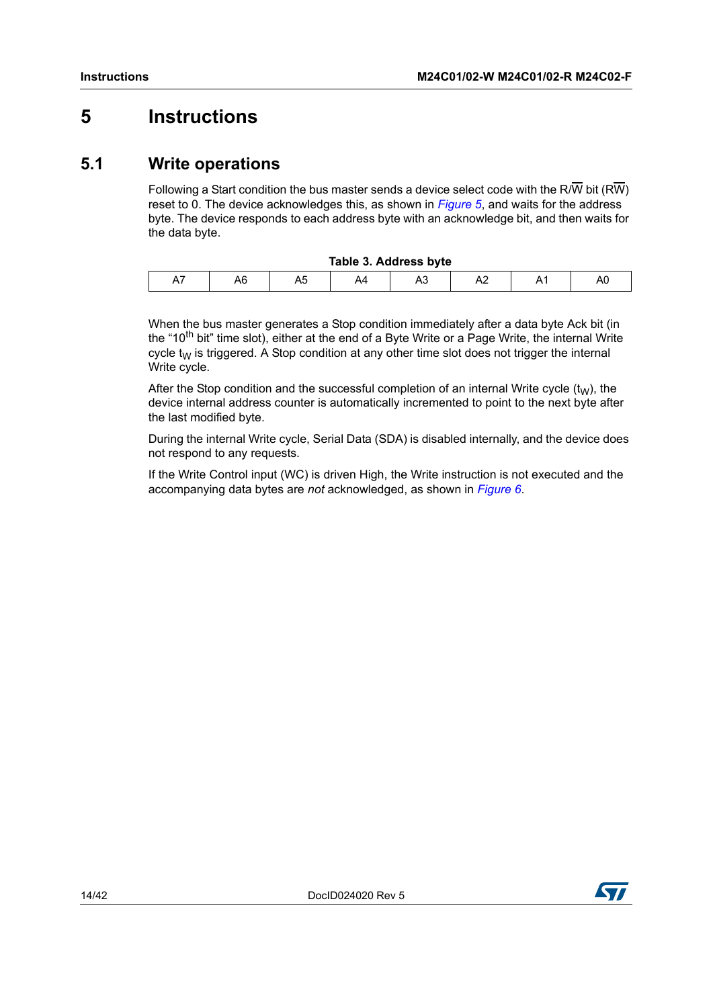# <span id="page-13-0"></span>**5 Instructions**

# <span id="page-13-1"></span>**5.1 Write operations**

Following a Start condition the bus master sends a device select code with the R/W bit (RW) reset to 0. The device acknowledges this, as shown in *Figure 5*, and waits for the address byte. The device responds to each address byte with an acknowledge bit, and then waits for the data byte.

<span id="page-13-2"></span>

| Table 3. Address byte |    |    |    |     |  |  |    |  |
|-----------------------|----|----|----|-----|--|--|----|--|
| Ā٦                    | A6 | nu | A4 | AS. |  |  | AU |  |

When the bus master generates a Stop condition immediately after a data byte Ack bit (in the "10<sup>th</sup> bit" time slot), either at the end of a Byte Write or a Page Write, the internal Write cycle  $t_{\text{W}}$  is triggered. A Stop condition at any other time slot does not trigger the internal Write cycle.

After the Stop condition and the successful completion of an internal Write cycle  $(t<sub>W</sub>)$ , the device internal address counter is automatically incremented to point to the next byte after the last modified byte.

During the internal Write cycle, Serial Data (SDA) is disabled internally, and the device does not respond to any requests.

If the Write Control input (WC) is driven High, the Write instruction is not executed and the accompanying data bytes are *not* acknowledged, as shown in *Figure 6*.

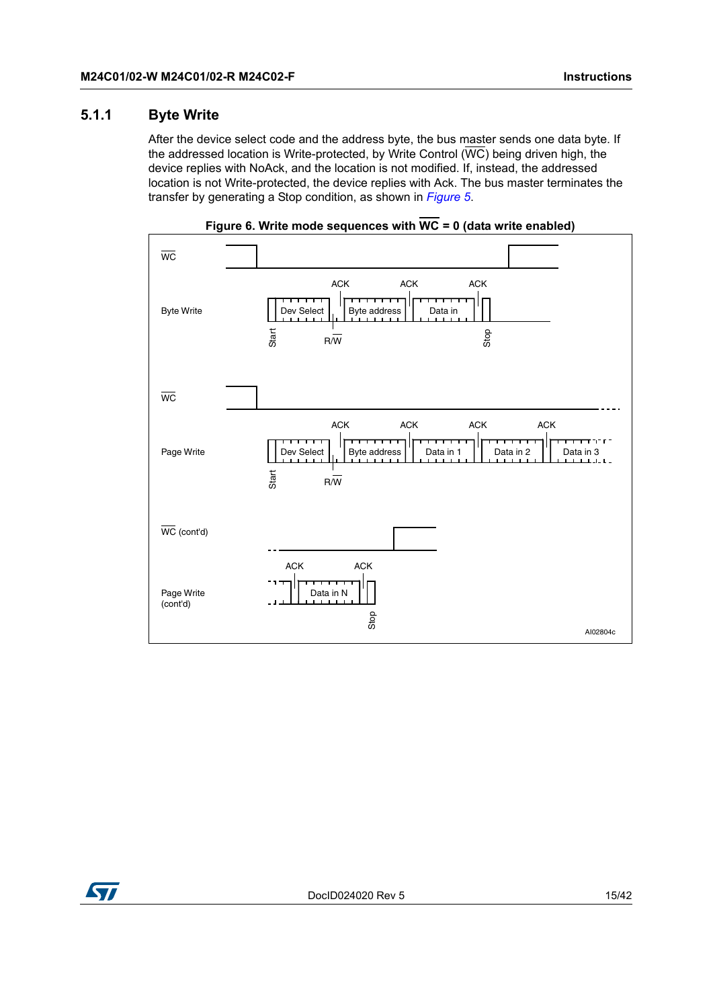#### <span id="page-14-0"></span>**5.1.1 Byte Write**

After the device select code and the address byte, the bus master sends one data byte. If the addressed location is Write-protected, by Write Control  $(\overline{WC})$  being driven high, the device replies with NoAck, and the location is not modified. If, instead, the addressed location is not Write-protected, the device replies with Ack. The bus master terminates the transfer by generating a Stop condition, as shown in *Figure 5*.

<span id="page-14-1"></span>

**Figure 6. Write mode sequences with WC = 0 (data write enabled)**

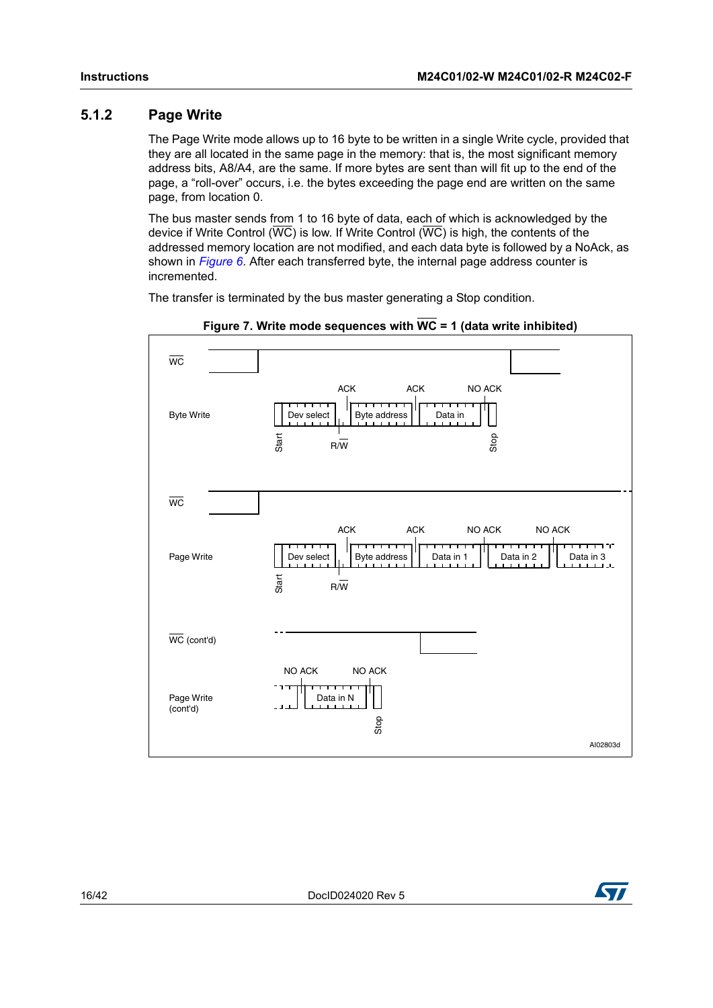#### <span id="page-15-0"></span>**5.1.2 Page Write**

The Page Write mode allows up to 16 byte to be written in a single Write cycle, provided that they are all located in the same page in the memory: that is, the most significant memory address bits, A8/A4, are the same. If more bytes are sent than will fit up to the end of the page, a "roll-over" occurs, i.e. the bytes exceeding the page end are written on the same page, from location 0.

The bus master sends from 1 to 16 byte of data, each of which is acknowledged by the device if Write Control ( $\overline{WC}$ ) is low. If Write Control ( $\overline{WC}$ ) is high, the contents of the addressed memory location are not modified, and each data byte is followed by a NoAck, as shown in *Figure 6*. After each transferred byte, the internal page address counter is incremented.

The transfer is terminated by the bus master generating a Stop condition.

<span id="page-15-1"></span>



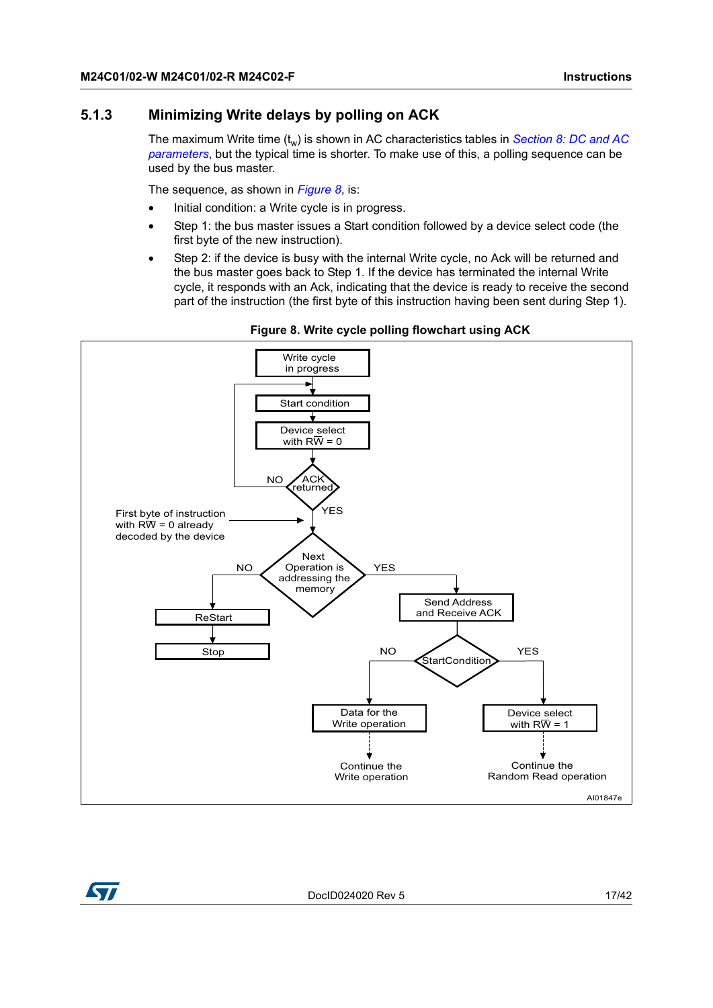#### <span id="page-16-0"></span>**5.1.3 Minimizing Write delays by polling on ACK**

The maximum Write time (t<sub>w</sub>) is shown in AC characteristics tables in *Section 8: DC and AC [parameters](#page-21-0)*, but the typical time is shorter. To make use of this, a polling sequence can be used by the bus master.

The sequence, as shown in *[Figure](#page-16-1) 8*, is:

- Initial condition: a Write cycle is in progress.
- Step 1: the bus master issues a Start condition followed by a device select code (the first byte of the new instruction).
- <span id="page-16-1"></span>Step 2: if the device is busy with the internal Write cycle, no Ack will be returned and the bus master goes back to Step 1. If the device has terminated the internal Write cycle, it responds with an Ack, indicating that the device is ready to receive the second part of the instruction (the first byte of this instruction having been sent during Step 1).



**Figure 8. Write cycle polling flowchart using ACK**



DocID024020 Rev 5 17/42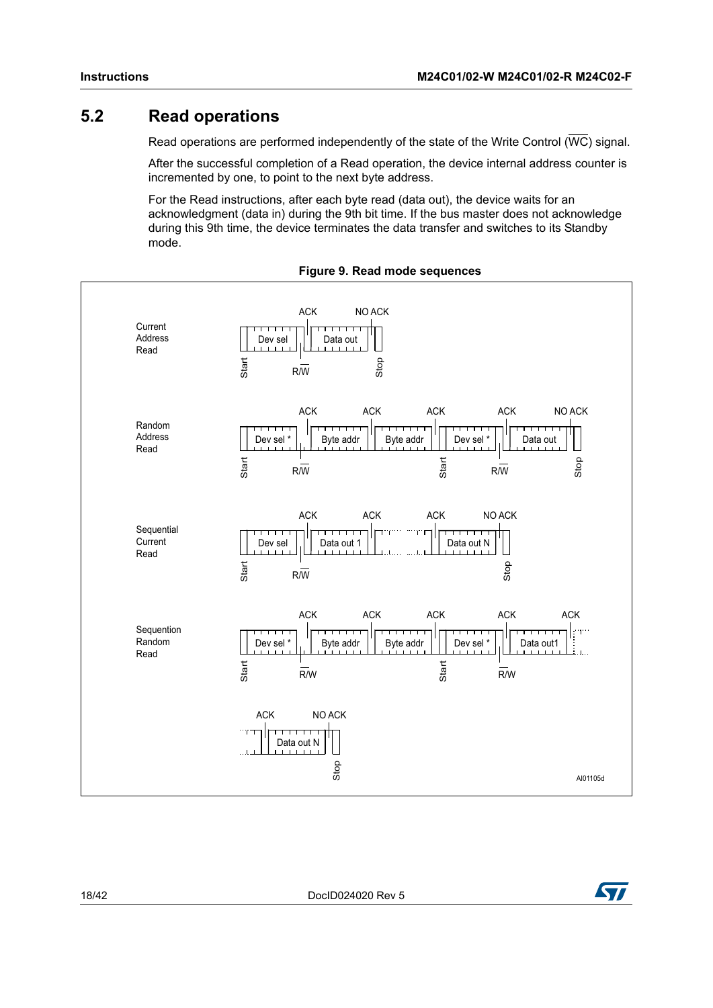# <span id="page-17-0"></span>**5.2 Read operations**

Read operations are performed independently of the state of the Write Control ( $\overline{WC}$ ) signal.

After the successful completion of a Read operation, the device internal address counter is incremented by one, to point to the next byte address.

<span id="page-17-1"></span>For the Read instructions, after each byte read (data out), the device waits for an acknowledgment (data in) during the 9th bit time. If the bus master does not acknowledge during this 9th time, the device terminates the data transfer and switches to its Standby mode.



#### **Figure 9. Read mode sequences**

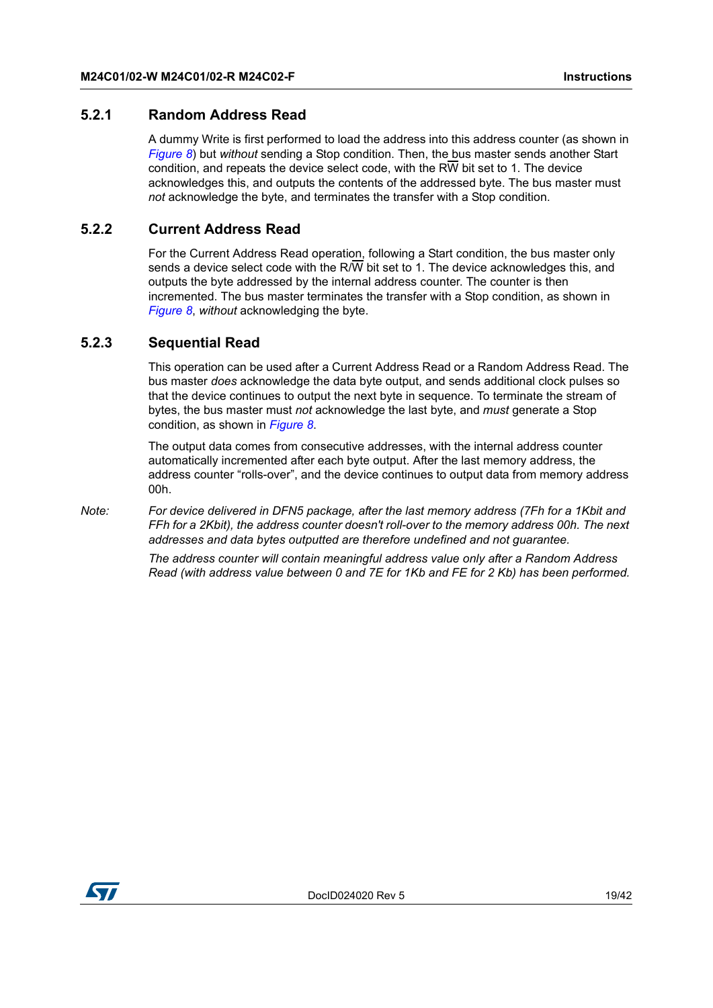#### <span id="page-18-0"></span>**5.2.1 Random Address Read**

A dummy Write is first performed to load the address into this address counter (as shown in *Figure 8*) but *without* sending a Stop condition. Then, the bus master sends another Start condition, and repeats the device select code, with the RW bit set to 1. The device acknowledges this, and outputs the contents of the addressed byte. The bus master must *not* acknowledge the byte, and terminates the transfer with a Stop condition.

#### <span id="page-18-1"></span>**5.2.2 Current Address Read**

For the Current Address Read operation, following a Start condition, the bus master only sends a device select code with the R/W bit set to 1. The device acknowledges this, and outputs the byte addressed by the internal address counter. The counter is then incremented. The bus master terminates the transfer with a Stop condition, as shown in *Figure 8*, *without* acknowledging the byte.

#### <span id="page-18-2"></span>**5.2.3 Sequential Read**

This operation can be used after a Current Address Read or a Random Address Read. The bus master *does* acknowledge the data byte output, and sends additional clock pulses so that the device continues to output the next byte in sequence. To terminate the stream of bytes, the bus master must *not* acknowledge the last byte, and *must* generate a Stop condition, as shown in *Figure 8*.

The output data comes from consecutive addresses, with the internal address counter automatically incremented after each byte output. After the last memory address, the address counter "rolls-over", and the device continues to output data from memory address 00h.

*Note: For device delivered in DFN5 package, after the last memory address (7Fh for a 1Kbit and FFh for a 2Kbit), the address counter doesn't roll-over to the memory address 00h. The next addresses and data bytes outputted are therefore undefined and not guarantee.*

> *The address counter will contain meaningful address value only after a Random Address Read (with address value between 0 and 7E for 1Kb and FE for 2 Kb) has been performed.*

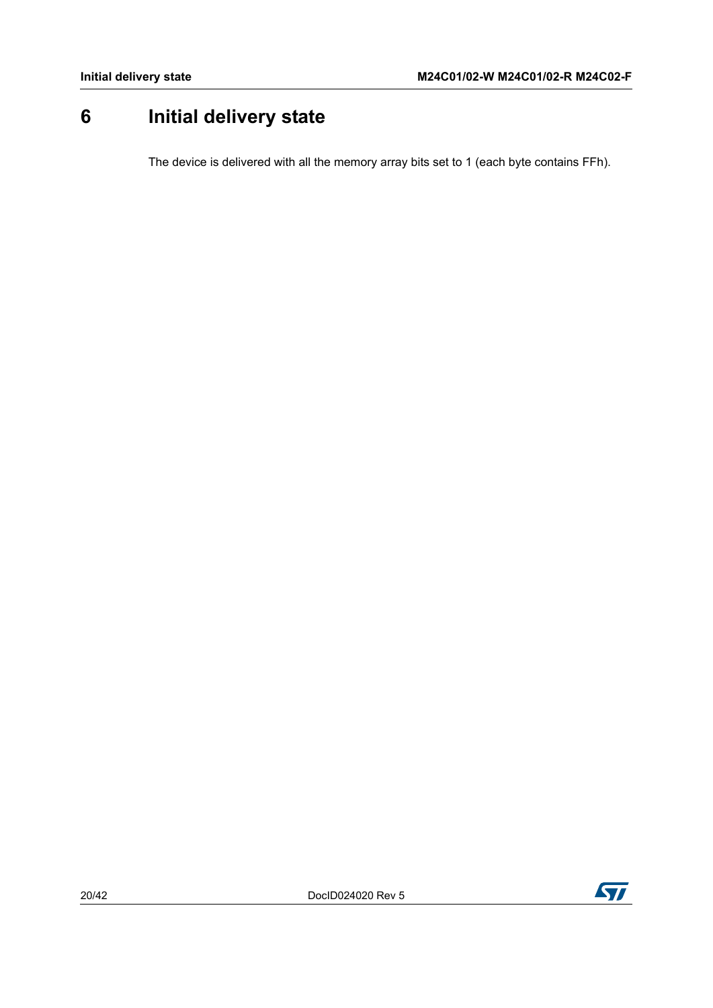# <span id="page-19-0"></span>**6 Initial delivery state**

The device is delivered with all the memory array bits set to 1 (each byte contains FFh).

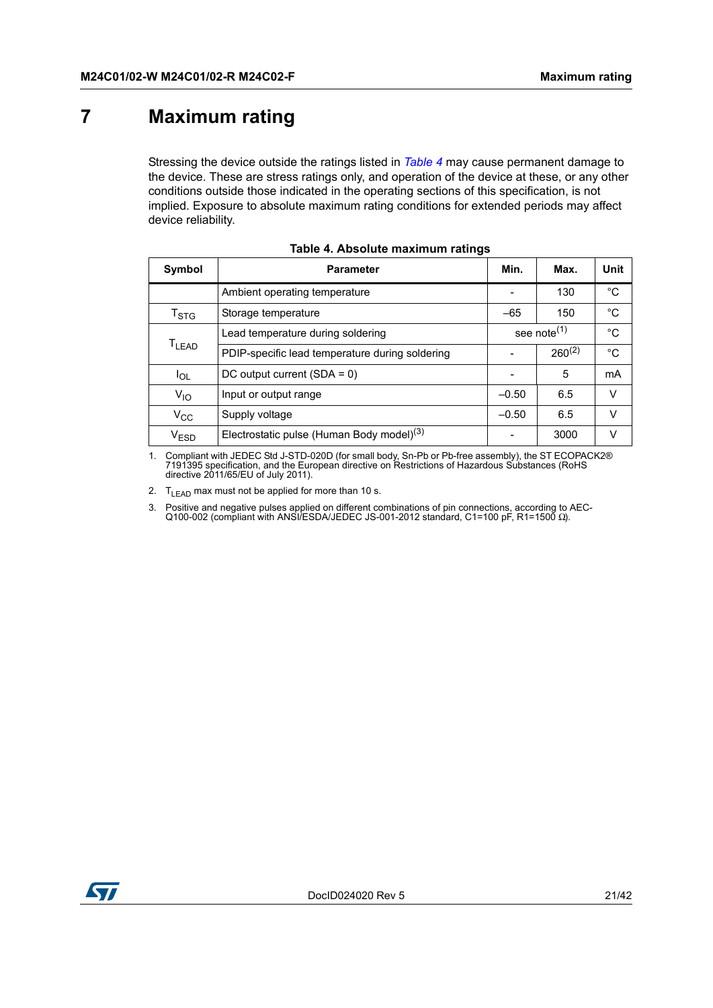# <span id="page-20-0"></span>**7 Maximum rating**

Stressing the device outside the ratings listed in *[Table](#page-20-1) 4* may cause permanent damage to the device. These are stress ratings only, and operation of the device at these, or any other conditions outside those indicated in the operating sections of this specification, is not implied. Exposure to absolute maximum rating conditions for extended periods may affect device reliability.

<span id="page-20-1"></span>

| <b>Symbol</b>             | <b>Parameter</b>                                      | Min.    | Max.                    | Unit        |
|---------------------------|-------------------------------------------------------|---------|-------------------------|-------------|
|                           | Ambient operating temperature                         |         | 130                     | $^{\circ}C$ |
| $\mathsf{T}_{\text{STG}}$ | Storage temperature                                   | $-65$   | 150                     | $^{\circ}C$ |
|                           | Lead temperature during soldering                     |         | see note <sup>(1)</sup> | °C          |
| $T_{LEAD}$                | PDIP-specific lead temperature during soldering       |         | $260^{(2)}$             | $^{\circ}C$ |
| $I_{OL}$                  | DC output current $(SDA = 0)$                         |         | 5                       | mA          |
| $V_{10}$                  | Input or output range                                 | $-0.50$ | 6.5                     | v           |
| $V_{\rm CC}$              | Supply voltage                                        | $-0.50$ | 6.5                     | v           |
| <b>VESD</b>               | Electrostatic pulse (Human Body model) <sup>(3)</sup> |         | 3000                    | v           |

|  |  | Table 4. Absolute maximum ratings |  |
|--|--|-----------------------------------|--|
|--|--|-----------------------------------|--|

1. Compliant with JEDEC Std J-STD-020D (for small body, Sn-Pb or Pb-free assembly), the ST ECOPACK2® 7191395 specification, and the European directive on Restrictions of Hazardous Substances (RoHS directive 2011/65/EU of July 2011).

2.  $T_{LEAD}$  max must not be applied for more than 10 s.

3. Positive and negative pulses applied on different combinations of pin connections, according to AEC-Q100-002 (compliant with ANSI/ESDA/JEDEC JS-001-2012 standard, C1=100 pF, R1=1500 Ω).

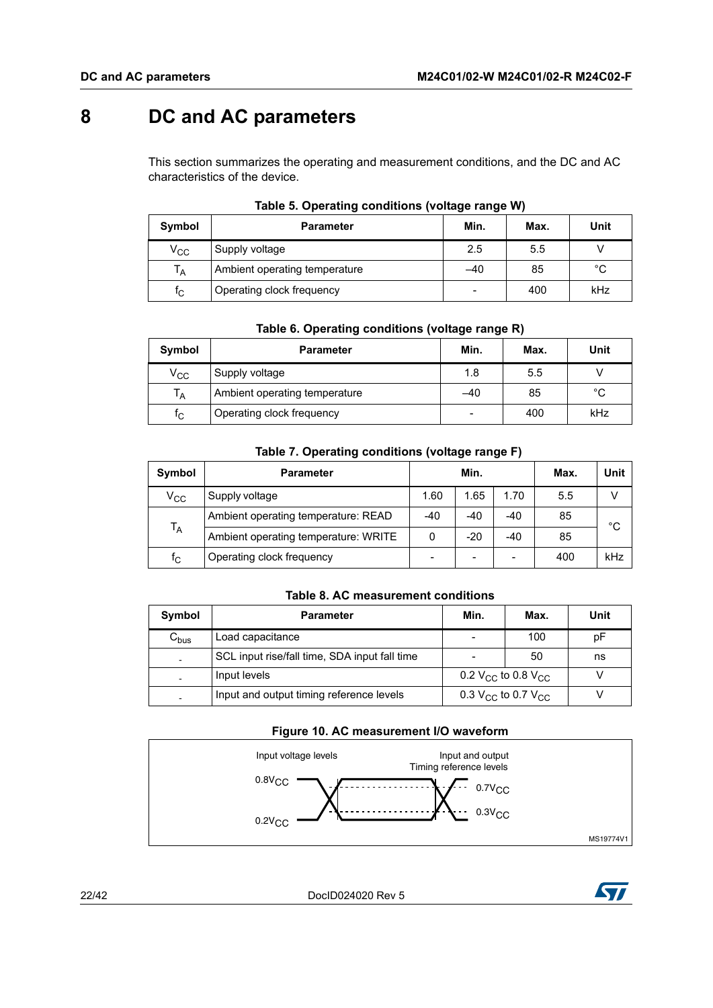# <span id="page-21-0"></span>**8 DC and AC parameters**

This section summarizes the operating and measurement conditions, and the DC and AC characteristics of the device.

<span id="page-21-1"></span>

| Symbol                  | <b>Parameter</b>              | Min. | Max. | Unit        |
|-------------------------|-------------------------------|------|------|-------------|
| $\rm v_{cc}$            | Supply voltage                | 2.5  | 5.5  |             |
| $T_A$                   | Ambient operating temperature | -40  | 85   | $^{\circ}C$ |
| $\mathsf{f}_\mathsf{C}$ | Operating clock frequency     |      | 400  | kHz         |

#### **Table 5. Operating conditions (voltage range W)**

|  | Table 6. Operating conditions (voltage range R) |  |
|--|-------------------------------------------------|--|
|  |                                                 |  |

<span id="page-21-2"></span>

| Symbol       | <b>Parameter</b>              | Min.  | Max. | Unit |
|--------------|-------------------------------|-------|------|------|
| $\rm v_{cc}$ | Supply voltage                | 1.8   | 5.5  |      |
| $T_A$        | Ambient operating temperature | $-40$ | 85   | °C   |
| $f_{\rm C}$  | Operating clock frequency     |       | 400  | kHz  |

| Table 7. Operating conditions (voltage range F) |
|-------------------------------------------------|
|-------------------------------------------------|

<span id="page-21-3"></span>

| Symbol       | <b>Parameter</b>                     |          | Min.  |       | Max. | <b>Unit</b> |
|--------------|--------------------------------------|----------|-------|-------|------|-------------|
| $\rm V_{CC}$ | Supply voltage                       | 1.60     | 1.65  | 1.70  | 5.5  |             |
|              | Ambient operating temperature: READ  | $-40$    | $-40$ | $-40$ | 85   | °C          |
| $T_A$        | Ambient operating temperature: WRITE | $\Omega$ | $-20$ | $-40$ | 85   |             |
| $f_{\rm C}$  | Operating clock frequency            |          | -     |       | 400  | kHz         |

#### **Table 8. AC measurement conditions**

<span id="page-21-4"></span>

| Symbol    | <b>Parameter</b>                              | Min.                                       | Max. | Unit |
|-----------|-----------------------------------------------|--------------------------------------------|------|------|
| $C_{bus}$ | Load capacitance                              |                                            | 100  | рF   |
|           | SCL input rise/fall time, SDA input fall time |                                            | 50   | ns   |
|           | Input levels                                  | 0.2 V <sub>CC</sub> to 0.8 V <sub>CC</sub> |      |      |
|           | Input and output timing reference levels      | 0.3 $V_{CC}$ to 0.7 $V_{CC}$               |      |      |

#### **Figure 10. AC measurement I/O waveform**

<span id="page-21-5"></span>

22/42 DocID024020 Rev 5

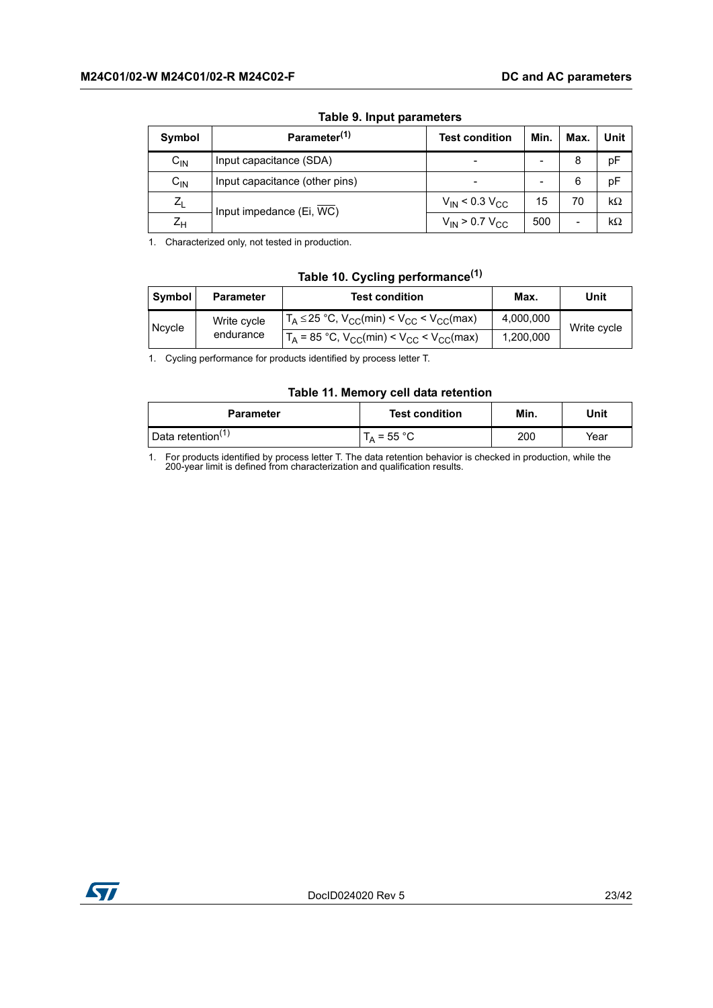<span id="page-22-0"></span>

| Symbol   | Parameter <sup>(1)</sup>       | <b>Test condition</b>                 | Min. | Max.                     | Unit      |  |
|----------|--------------------------------|---------------------------------------|------|--------------------------|-----------|--|
| $C_{IN}$ | Input capacitance (SDA)        |                                       |      | 8                        | pF        |  |
| $C_{IN}$ | Input capacitance (other pins) |                                       |      | 6                        | pF        |  |
| $Z_L$    | Input impedance (Ei, WC)       | $V_{\text{IN}}$ < 0.3 $V_{\text{CC}}$ | 15   | 70                       | $k\Omega$ |  |
| $Z_H$    |                                | $V_{IN}$ > 0.7 $V_{CC}$               | 500  | $\overline{\phantom{0}}$ | $k\Omega$ |  |

#### **Table 9. Input parameters**

1. Characterized only, not tested in production.

#### **Table 10. Cycling performance(1)**

<span id="page-22-1"></span>

| Symbol | <b>Parameter</b> | <b>Test condition</b>                                 | Max.      | Unit        |
|--------|------------------|-------------------------------------------------------|-----------|-------------|
|        | Write cycle      | $T_A \le 25$ °C, $V_{CC}(min) < V_{CC} < V_{CC}(max)$ | 4,000,000 | Write cycle |
| Ncycle | endurance        | $T_A$ = 85 °C, $V_{CC}(min) < V_{CC} < V_{CC}(max)$   | 1,200,000 |             |

1. Cycling performance for products identified by process letter T.

#### **Table 11. Memory cell data retention**

<span id="page-22-2"></span>

| <b>Parameter</b>              | <b>Test condition</b> | Min. | Unit |
|-------------------------------|-----------------------|------|------|
| Data retention <sup>(1)</sup> | $T_A$ = 55 °C         | 200  | Year |

1. For products identified by process letter T. The data retention behavior is checked in production, while the 200-year limit is defined from characterization and qualification results.

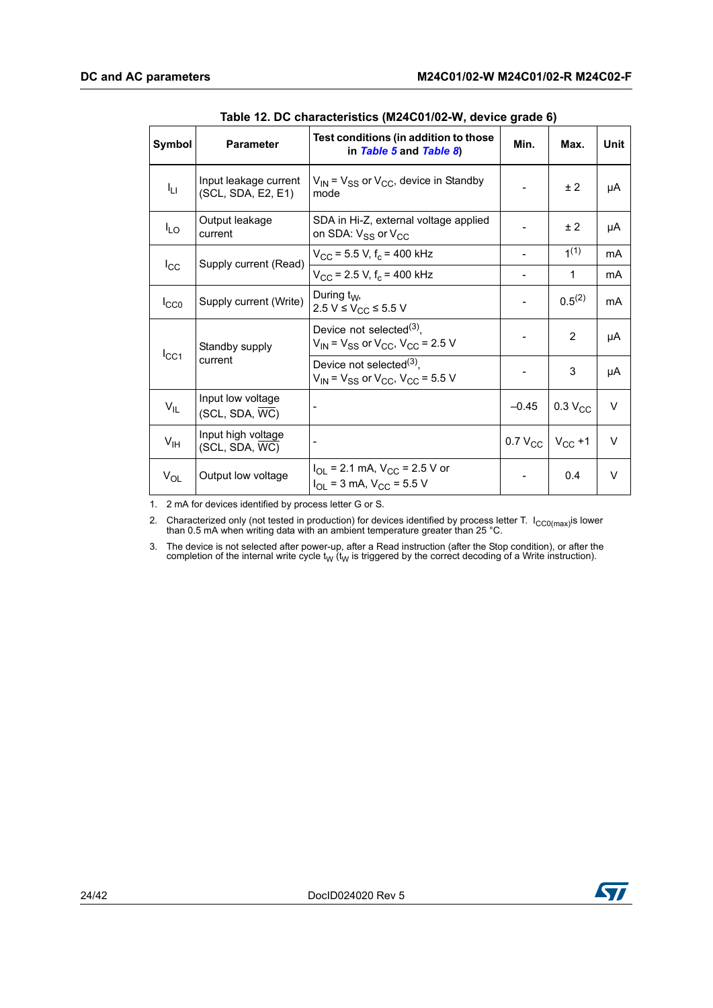<span id="page-23-0"></span>

| Symbol           | <b>Parameter</b>                            | Test conditions (in addition to those<br>in Table 5 and Table 8)                           | Min.         | Max.                | Unit           |
|------------------|---------------------------------------------|--------------------------------------------------------------------------------------------|--------------|---------------------|----------------|
| Iц               | Input leakage current<br>(SCL, SDA, E2, E1) | $V_{IN}$ = $V_{SS}$ or $V_{CC}$ , device in Standby<br>mode                                |              | ±2                  | μA             |
| $I_{LO}$         | Output leakage<br>current                   | SDA in Hi-Z, external voltage applied<br>on SDA: $V_{SS}$ or $V_{CC}$                      |              | ±2                  | μA             |
|                  | Supply current (Read)                       | $V_{\rm CC}$ = 5.5 V, f <sub>c</sub> = 400 kHz                                             |              | 1 <sup>(1)</sup>    | mA             |
| $I_{\rm CC}$     |                                             | $V_{\rm CC}$ = 2.5 V, f <sub>c</sub> = 400 kHz                                             |              | 1                   | mA             |
| $I_{CC0}$        | Supply current (Write)                      | During $t_W$ ,<br>2.5 V ≤ V <sub>CC</sub> ≤ 5.5 V                                          |              | $0.5^{(2)}$         | m <sub>A</sub> |
|                  | Standby supply                              | Device not selected <sup>(3)</sup> ,<br>$V_{IN}$ = $V_{SS}$ or $V_{CC}$ , $V_{CC}$ = 2.5 V |              | 2                   | μA             |
| $I_{\text{CC1}}$ | current                                     | Device not selected <sup>(3)</sup> ,<br>$V_{IN}$ = $V_{SS}$ or $V_{CC}$ , $V_{CC}$ = 5.5 V |              | 3                   | μA             |
| $V_{IL}$         | Input low voltage<br>(SCL, SDA, WC)         |                                                                                            | $-0.45$      | 0.3 V <sub>CC</sub> | V              |
| $V_{\text{IH}}$  | Input high voltage<br>(SCL, SDA, WC)        |                                                                                            | $0.7 V_{CC}$ | $V_{CC}$ +1         | $\vee$         |
| $V_{OL}$         | Output low voltage                          | $I_{OL}$ = 2.1 mA, $V_{CC}$ = 2.5 V or<br>$I_{OL}$ = 3 mA, $V_{CC}$ = 5.5 V                |              | 0.4                 | V              |

**Table 12. DC characteristics (M24C01/02-W, device grade 6)** 

1. 2 mA for devices identified by process letter G or S.

2. Characterized only (not tested in production) for devices identified by process letter T.  $I_{CC0(max)}$ is lower than 0.5 mA when writing data with an ambient temperature greater than 25 °C.

3. The device is not selected after power-up, after a Read instruction (after the Stop condition), or after the completion of the internal write cycle t<sub>W</sub> (t<sub>W</sub> is triggered by the correct decoding of a Write instruction).

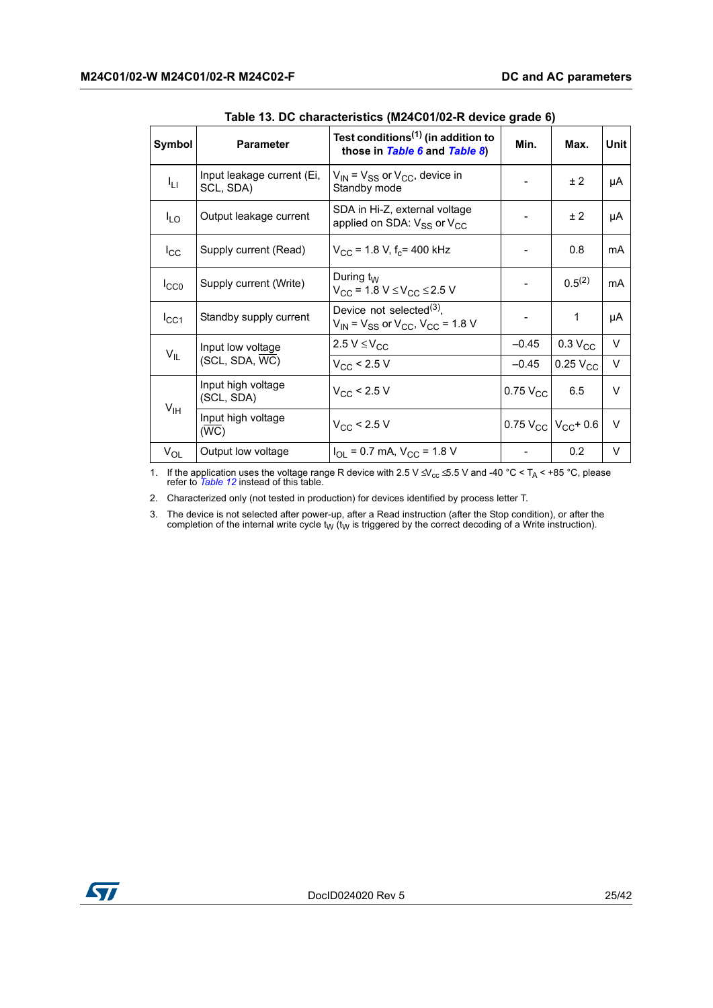<span id="page-24-0"></span>

| Symbol          | <b>Parameter</b>                        | Test conditions <sup>(1)</sup> (in addition to<br>those in Table 6 and Table 8)      | Min.                     | Max.                         | Unit   |
|-----------------|-----------------------------------------|--------------------------------------------------------------------------------------|--------------------------|------------------------------|--------|
| ŀц              | Input leakage current (Ei,<br>SCL, SDA) | $V_{\text{IN}}$ = $V_{SS}$ or $V_{CC}$ , device in<br>Standby mode                   |                          | ± 2                          | μA     |
| $I_{LO}$        | Output leakage current                  | SDA in Hi-Z, external voltage<br>applied on SDA: $V_{SS}$ or $V_{CC}$                |                          | ± 2                          | μA     |
| $I_{\rm CC}$    | Supply current (Read)                   | $V_{\rm CC}$ = 1.8 V, f <sub>c</sub> = 400 kHz                                       |                          | 0.8                          | mA     |
| $I_{CC0}$       | Supply current (Write)                  | During $t_{\rm W}$<br>$V_{CC}$ = 1.8 V $\leq$ V <sub>CC</sub> $\leq$ 2.5 V           | $\overline{\phantom{a}}$ | $0.5^{(2)}$                  | mA     |
| $I_{\rm CC1}$   | Standby supply current                  | Device not selected $^{(3)}$ ,<br>$V_{IN}$ = $V_{SS}$ or $V_{CC}$ , $V_{CC}$ = 1.8 V |                          | 1                            | μA     |
|                 | Input low voltage                       | 2.5 $V \leq V_{CC}$                                                                  | $-0.45$                  | $0.3 V_{CC}$                 | $\vee$ |
| $V_{IL}$        | (SCL, SDA, WC)                          | $V_{CC}$ < 2.5 V                                                                     | $-0.45$                  | $0.25$ V <sub>CC</sub>       | V      |
|                 | Input high voltage<br>(SCL, SDA)        | $V_{\rm CC}$ < 2.5 V                                                                 | $0.75$ $V_{CC}$          | 6.5                          | V      |
| V <sub>IH</sub> | Input high voltage<br>(WC)              | $V_{\rm CC}$ < 2.5 V                                                                 |                          | 0.75 $V_{CC}$ $V_{CC}$ + 0.6 | $\vee$ |
| $V_{OL}$        | Output low voltage                      | $I_{OL}$ = 0.7 mA, $V_{CC}$ = 1.8 V                                                  |                          | 0.2                          | V      |

**Table 13. DC characteristics (M24C01/02-R device grade 6)**

1. If the application uses the voltage range R device with 2.5 V ≤ V<sub>cc</sub> ≤ 5.5 V and -40 °C < T<sub>A</sub> < +85 °C, please refer to *[Table 12](#page-23-0)* instead of this table.

2. Characterized only (not tested in production) for devices identified by process letter T.

3. The device is not selected after power-up, after a Read instruction (after the Stop condition), or after the completion of the internal write cycle  $t_W$  ( $t_W$  is triggered by the correct decoding of a Write instruction).

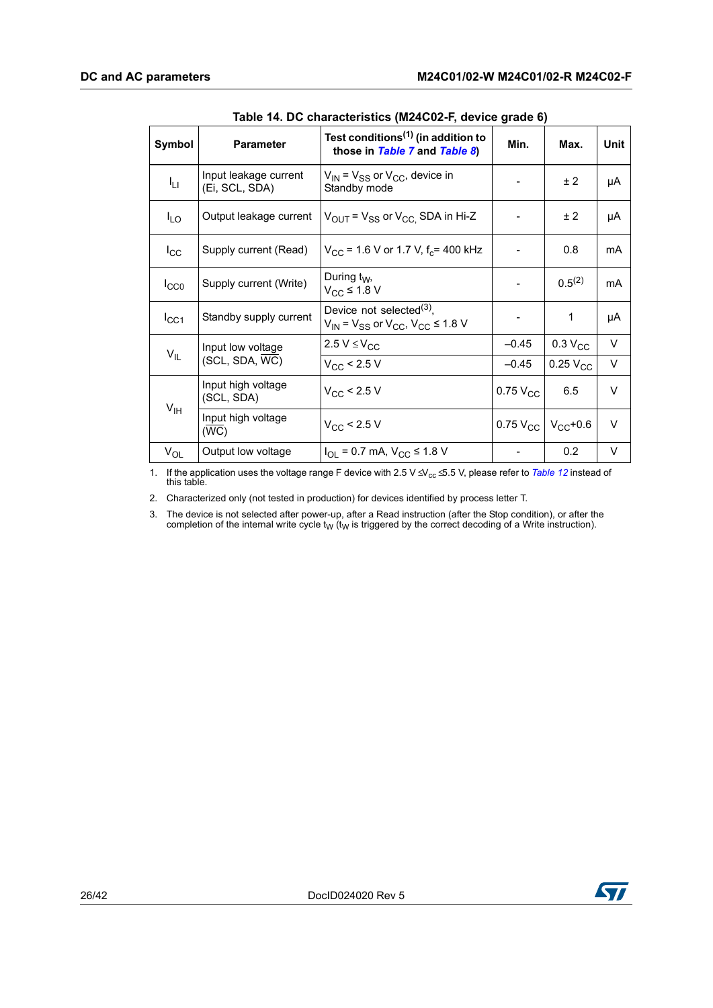<span id="page-25-0"></span>

| Symbol          | <b>Parameter</b>                        | Test conditions <sup>(1)</sup> (in addition to<br>those in Table 7 and Table 8)      | 5.444<br>Min. | Max.                        | Unit   |
|-----------------|-----------------------------------------|--------------------------------------------------------------------------------------|---------------|-----------------------------|--------|
| Iц              | Input leakage current<br>(Ei, SCL, SDA) | $V_{IN}$ = $V_{SS}$ or $V_{CC}$ , device in<br>Standby mode                          |               | ± 2                         | μA     |
| $I_{LO}$        | Output leakage current                  | $V_{\text{OUT}}$ = $V_{SS}$ or $V_{\text{CC}}$ , SDA in Hi-Z                         |               | ± 2                         | μA     |
| $I_{\rm CC}$    | Supply current (Read)                   | $V_{CC}$ = 1.6 V or 1.7 V, f <sub>c</sub> = 400 kHz                                  |               | 0.8                         | mA     |
| $I_{CC0}$       | Supply current (Write)                  | During $t_W$ ,<br>$V_{CC}$ ≤ 1.8 V                                                   |               | $0.5^{(2)}$                 | mA     |
| $I_{\rm CC1}$   | Standby supply current                  | Device not selected $^{(3)}$ ,<br>$V_{IN}$ = $V_{SS}$ or $V_{CC}$ , $V_{CC}$ ≤ 1.8 V |               | 1                           | μA     |
|                 | Input low voltage                       | 2.5 $V \leq V_{CC}$                                                                  | $-0.45$       | 0.3 V <sub>CC</sub>         | V      |
| $V_{IL}$        | (SCL, SDA, WC)                          | $V_{CC}$ < 2.5 V                                                                     | $-0.45$       | $0.25\text{ V}_{\text{CC}}$ | V      |
|                 | Input high voltage<br>(SCL, SDA)        | $V_{CC}$ < 2.5 V                                                                     | $0.75V_{CC}$  | 6.5                         | V      |
| V <sub>IH</sub> | Input high voltage<br>(WC)              | $V_{\rm CC}$ < 2.5 V                                                                 | $0.75V_{CC}$  | $V_{CC}$ +0.6               | $\vee$ |
| $V_{OL}$        | Output low voltage                      | $I_{OL}$ = 0.7 mA, $V_{CC}$ ≤ 1.8 V                                                  |               | 0.2                         | V      |

| Table 14. DC characteristics (M24C02-F, device grade 6) |  |
|---------------------------------------------------------|--|
|                                                         |  |

1. If the application uses the voltage range F device with 2.5 V ≤ V<sub>cc</sub> ≤ 5.5 V, please refer to *Table 12* instead of this table.

2. Characterized only (not tested in production) for devices identified by process letter T.

3. The device is not selected after power-up, after a Read instruction (after the Stop condition), or after the completion of the internal write cycle  $t_W$  ( $t_W$  is triggered by the correct decoding of a Write instruction).

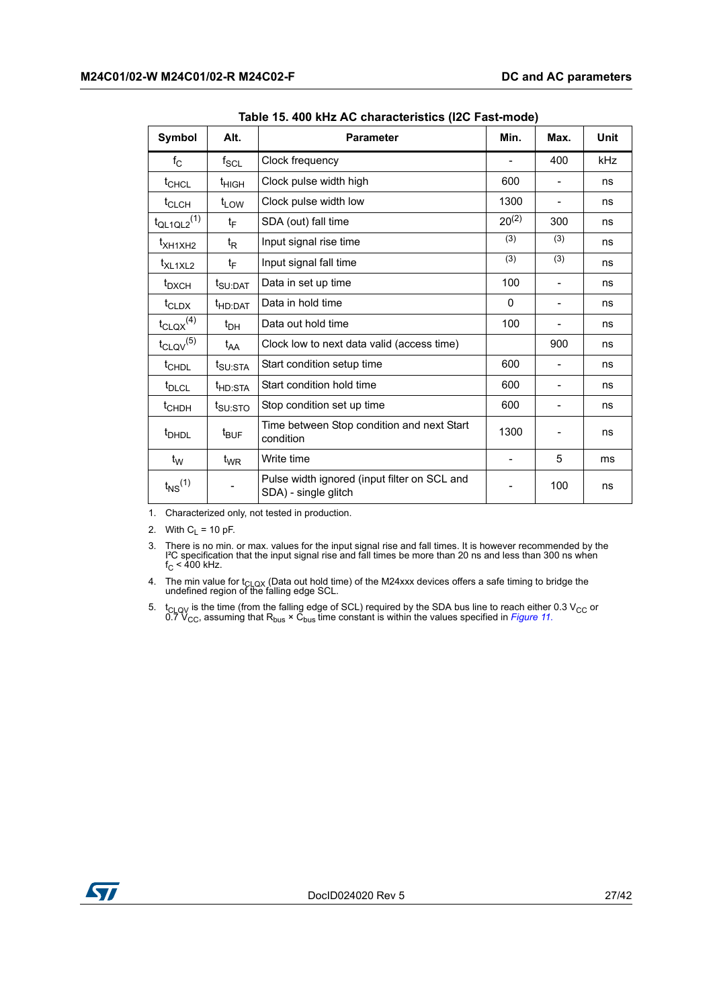<span id="page-26-0"></span>

| Symbol                      | Alt.                        | <b>Parameter</b>                                                     | Min.       | Max. | <b>Unit</b> |
|-----------------------------|-----------------------------|----------------------------------------------------------------------|------------|------|-------------|
| $f_{\rm C}$                 | $\mathsf{f}_{\mathsf{SCL}}$ | Clock frequency                                                      |            | 400  | kHz         |
| t <sub>CHCL</sub>           | t <sub>HIGH</sub>           | Clock pulse width high                                               | 600        |      | ns          |
| t <sub>CLCH</sub>           | t <sub>LOW</sub>            | Clock pulse width low                                                | 1300       |      | ns          |
| $t_{QL1QL2}$ <sup>(1)</sup> | t <sub>F</sub>              | SDA (out) fall time                                                  | $20^{(2)}$ | 300  | ns          |
| t <sub>XH1XH2</sub>         | t <sub>R</sub>              | Input signal rise time                                               | (3)        | (3)  | ns          |
| t <sub>XL1XL2</sub>         | t <sub>F</sub>              | Input signal fall time                                               | (3)        | (3)  | ns          |
| $t_{\text{DXCH}}$           | t <sub>SU:DAT</sub>         | Data in set up time                                                  | 100        |      | ns          |
| $t_{CLDX}$                  | t <sub>HD:DAT</sub>         | Data in hold time                                                    | 0          |      | ns          |
| $t_{\text{CLQX}}^{(4)}$     | $t_{\text{DH}}$             | Data out hold time                                                   | 100        |      | ns          |
| $t_{\text{CLQV}}^{(5)}$     | $t_{AA}$                    | Clock low to next data valid (access time)                           |            | 900  | ns          |
| t <sub>CHDL</sub>           | t <sub>SU:STA</sub>         | Start condition setup time                                           | 600        |      | ns          |
| t <sub>DLCL</sub>           | t <sub>HD:STA</sub>         | Start condition hold time                                            | 600        |      | ns          |
| t <sub>CHDH</sub>           | t <sub>SU:STO</sub>         | Stop condition set up time                                           | 600        |      | ns          |
| <sup>t</sup> DHDL           | $t_{\mathsf{BUF}}$          | Time between Stop condition and next Start<br>condition              | 1300       |      | ns          |
| $t_W$                       | $t_{\mathsf{WR}}$           | Write time                                                           |            | 5    | ms          |
| $t_{NS}$ <sup>(1)</sup>     |                             | Pulse width ignored (input filter on SCL and<br>SDA) - single glitch |            | 100  | ns          |

**Table 15. 400 kHz AC characteristics (I2C Fast-mode)** 

1. Characterized only, not tested in production.

2. With  $C_L$  = 10 pF.

3. There is no min. or max. values for the input signal rise and fall times. It is however recommended by the I<sup>2</sup>C specification that the input signal rise and fall times be more than 20 ns and less than 300 ns when  $f_C <$ 

4. The min value for t<sub>CLQX</sub> (Data out hold time) of the M24xxx devices offers a safe timing to bridge the undefined region of the falling edge SCL.

5. t<sub>CLQV</sub> is the time (from the falling edge of SCL) required by the SDA bus line to reach either 0.3 V<sub>CC</sub> or 0.7 V<sub>CC</sub>, assuming that R<sub>bus</sub> × C<sub>bus</sub> time constant is within the values specified in *Figure 11*.

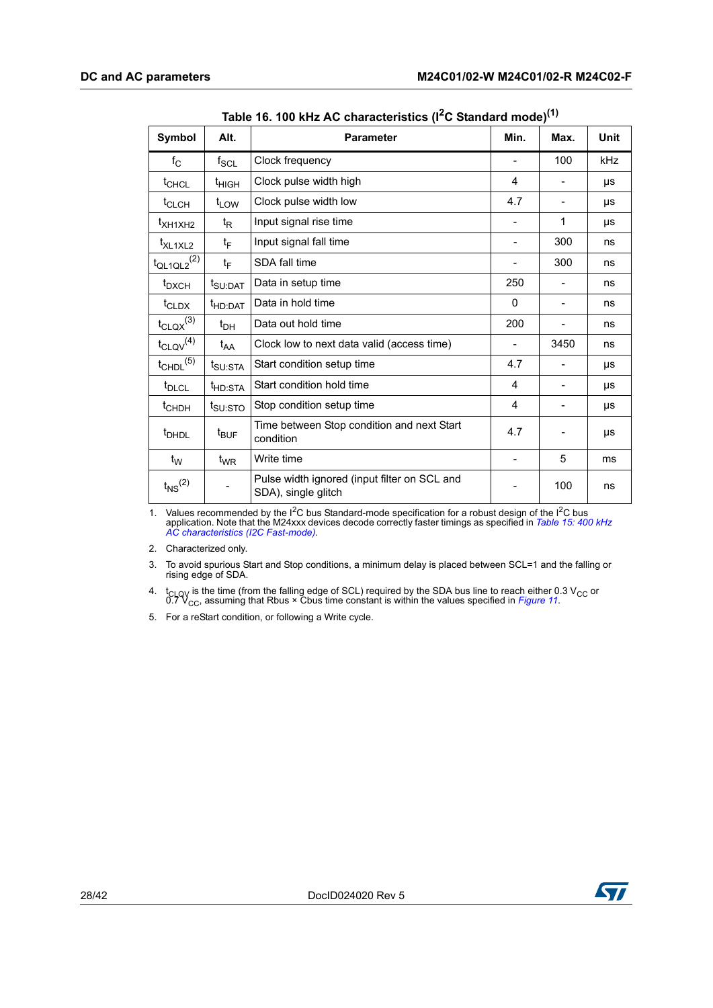<span id="page-27-0"></span>

| Symbol                      | Alt.                | <b>Parameter</b>                                                    | Min.                     | Max. | <b>Unit</b> |
|-----------------------------|---------------------|---------------------------------------------------------------------|--------------------------|------|-------------|
| $f_{\rm C}$                 | $f_{\rm SCL}$       | Clock frequency                                                     |                          | 100  | <b>kHz</b>  |
| t <sub>CHCL</sub>           | $t_{HIGH}$          | Clock pulse width high                                              | 4                        |      | μs          |
| $t_{CLCH}$                  | $t_{LOW}$           | Clock pulse width low                                               | 4.7                      |      | μs          |
| $t_{\text{XH1XH2}}$         | $t_{\mathsf{R}}$    | Input signal rise time                                              |                          | 1    | μs          |
| t <sub>XL1XL2</sub>         | $t_F$               | Input signal fall time                                              | $\overline{\phantom{0}}$ | 300  | ns          |
| $t_{QL1QL2}$ <sup>(2)</sup> | $t_F$               | SDA fall time                                                       |                          | 300  | ns          |
| t <sub>DXCH</sub>           | t <sub>SU:DAT</sub> | Data in setup time                                                  | 250                      |      | ns          |
| $t_{CLDX}$                  | t <sub>HD:DAT</sub> | Data in hold time                                                   | 0                        |      | ns          |
| $t_{\text{CLQX}}^{(3)}$     | $t_{DH}$            | Data out hold time                                                  | 200                      |      | ns          |
| $t_{\text{CLQV}}^{(4)}$     | $t_{AA}$            | Clock low to next data valid (access time)                          | $\overline{\phantom{a}}$ | 3450 | ns          |
| $t_{\text{CHDL}}^{(5)}$     | t <sub>SU:STA</sub> | Start condition setup time                                          | 4.7                      |      | μs          |
| t <sub>DLCL</sub>           | t <sub>HD:STA</sub> | Start condition hold time                                           | 4                        |      | μs          |
| t <sub>CHDH</sub>           | t <sub>SU:STO</sub> | Stop condition setup time                                           | 4                        |      | μs          |
| <sup>t</sup> DHDL           | $t_{\text{BUF}}$    | Time between Stop condition and next Start<br>condition             | 4.7                      |      | μs          |
| $t_W$                       | $t_{WR}$            | Write time                                                          | -                        | 5    | ms          |
| $t_{NS}$ <sup>(2)</sup>     |                     | Pulse width ignored (input filter on SCL and<br>SDA), single glitch |                          | 100  | ns          |

**Table 16. 100 kHz AC characteristics (I2C Standard mode)(1)**

1. Values recommended by the I2C bus Standard-mode specification for a robust design of the I2C bus application. Note that the M24xxx devices decode correctly faster timings as specified in *Table 15: 400 kHz AC characteristics (I2C Fast-mode)*.

2. Characterized only.

3. To avoid spurious Start and Stop conditions, a minimum delay is placed between SCL=1 and the falling or rising edge of SDA.

4. t<sub>CLQV</sub> is the time (from the falling edge of SCL) required by the SDA bus line to reach either 0.3 V<sub>CC</sub> or 0.7 V<sub>CC</sub>, assuming that Rbus × Cbus time constant is within the values specified in *Figure 11*.

5. For a reStart condition, or following a Write cycle.

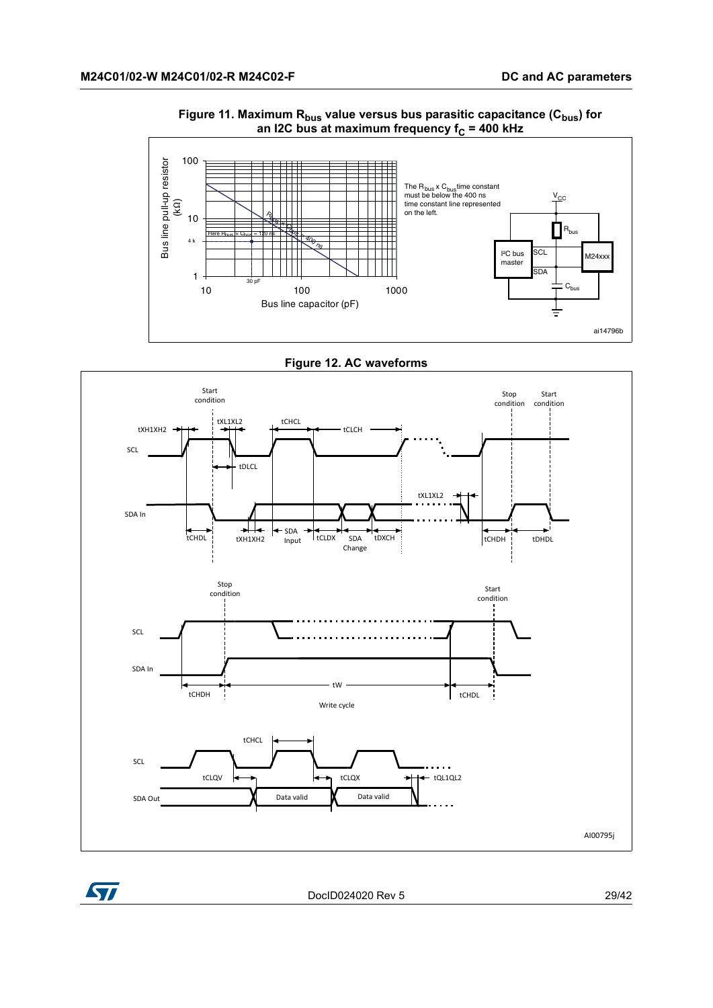<span id="page-28-0"></span>

#### Figure 11. Maximum R<sub>bus</sub> value versus bus parasitic capacitance (C<sub>bus</sub>) for an I2C bus at maximum frequency f<sub>C</sub> = 400 kHz



<span id="page-28-1"></span>



DocID024020 Rev 5 29/42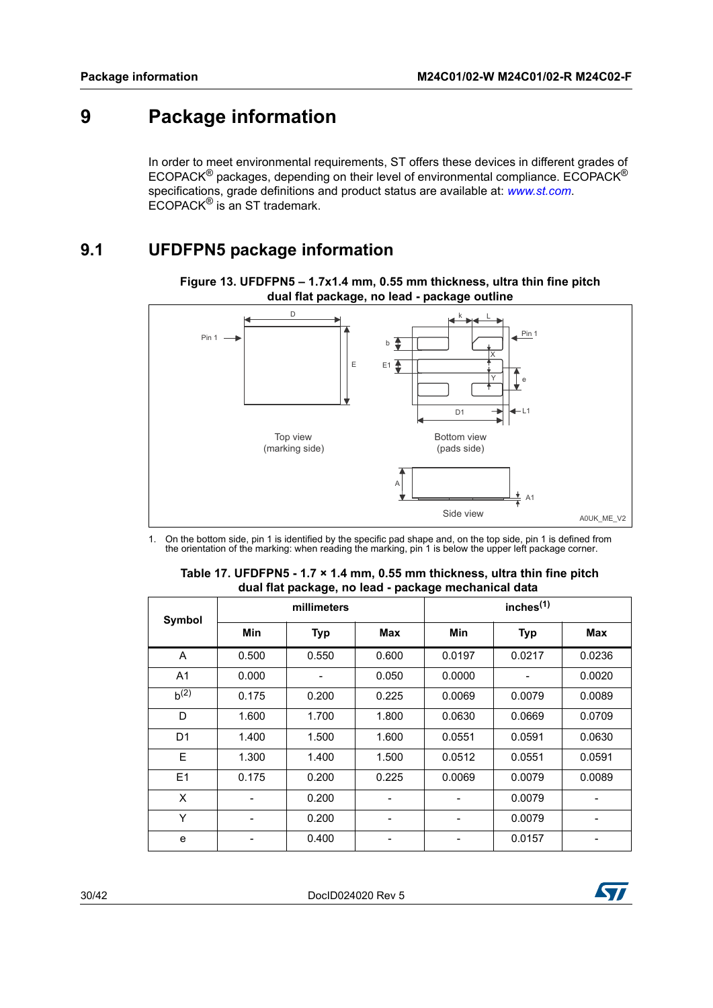# <span id="page-29-0"></span>**9 Package information**

In order to meet environmental requirements, ST offers these devices in different grades of ECOPACK® packages, depending on their level of environmental compliance. ECOPACK® specifications, grade definitions and product status are available at: *www.st.com*. ECOPACK® is an ST trademark.

### <span id="page-29-1"></span>**9.1 UFDFPN5 package information**

<span id="page-29-3"></span>

**Figure 13. UFDFPN5 – 1.7x1.4 mm, 0.55 mm thickness, ultra thin fine pitch dual flat package, no lead - package outline**

1. On the bottom side, pin 1 is identified by the specific pad shape and, on the top side, pin 1 is defined from the orientation of the marking: when reading the marking, pin 1 is below the upper left package corner.

<span id="page-29-2"></span>

| <b>Symbol</b>  |            | millimeters |       |            | inches $(1)$ |            |
|----------------|------------|-------------|-------|------------|--------------|------------|
|                | <b>Min</b> | <b>Typ</b>  | Max   | <b>Min</b> | <b>Typ</b>   | <b>Max</b> |
| A              | 0.500      | 0.550       | 0.600 | 0.0197     | 0.0217       | 0.0236     |
| A <sub>1</sub> | 0.000      |             | 0.050 | 0.0000     |              | 0.0020     |
| $b^{(2)}$      | 0.175      | 0.200       | 0.225 | 0.0069     | 0.0079       | 0.0089     |
| D              | 1.600      | 1.700       | 1.800 | 0.0630     | 0.0669       | 0.0709     |
| D <sub>1</sub> | 1.400      | 1.500       | 1.600 | 0.0551     | 0.0591       | 0.0630     |
| E              | 1.300      | 1.400       | 1.500 | 0.0512     | 0.0551       | 0.0591     |
| E1             | 0.175      | 0.200       | 0.225 | 0.0069     | 0.0079       | 0.0089     |
| X              |            | 0.200       |       |            | 0.0079       |            |
| Y              |            | 0.200       |       |            | 0.0079       |            |
| e              |            | 0.400       |       |            | 0.0157       |            |

| Table 17. UFDFPN5 - 1.7 × 1.4 mm, 0.55 mm thickness, ultra thin fine pitch |
|----------------------------------------------------------------------------|
| dual flat package, no lead - package mechanical data                       |

30/42 DocID024020 Rev 5

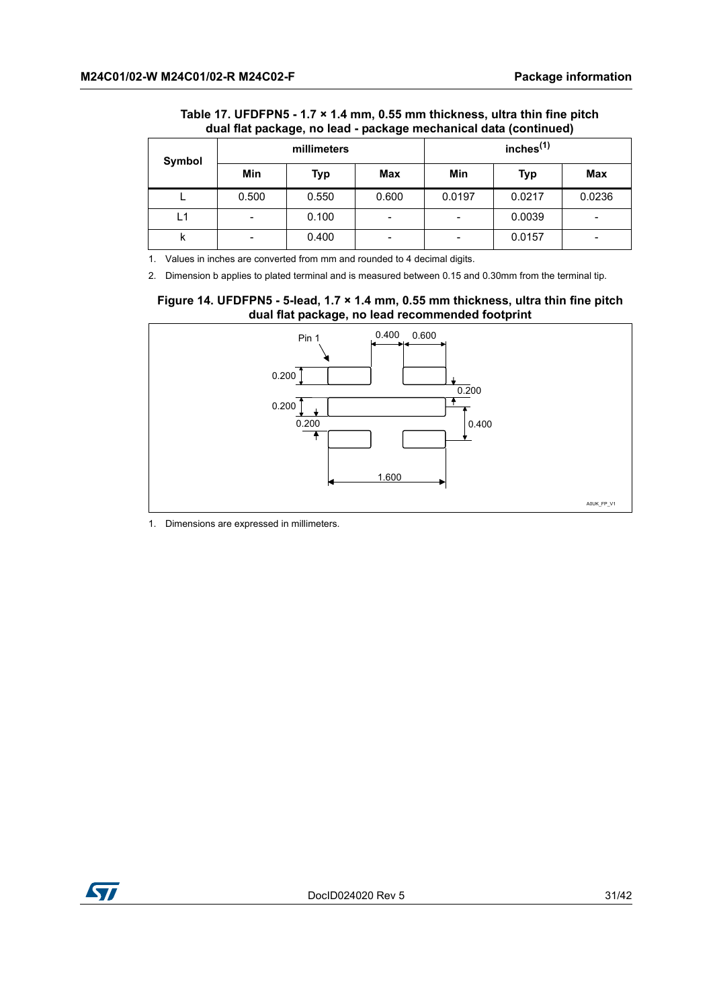|                       | adal hat package, no lead - package mechanical data (continued) |            |              |        |            |        |  |
|-----------------------|-----------------------------------------------------------------|------------|--------------|--------|------------|--------|--|
| millimeters<br>Symbol |                                                                 |            | inches $(1)$ |        |            |        |  |
|                       | Min                                                             | <b>Typ</b> | Max          | Min    | <b>Typ</b> | Max    |  |
|                       | 0.500                                                           | 0.550      | 0.600        | 0.0197 | 0.0217     | 0.0236 |  |
| L1                    | $\overline{\phantom{0}}$                                        | 0.100      | -            |        | 0.0039     |        |  |
| κ                     | $\overline{\phantom{a}}$                                        | 0.400      | -            |        | 0.0157     | -      |  |

#### **Table 17. UFDFPN5 - 1.7 × 1.4 mm, 0.55 mm thickness, ultra thin fine pitch dual flat package, no lead - package mechanical data (continued)**

1. Values in inches are converted from mm and rounded to 4 decimal digits.

2. Dimension b applies to plated terminal and is measured between 0.15 and 0.30mm from the terminal tip.

#### <span id="page-30-0"></span>**Figure 14. UFDFPN5 - 5-lead, 1.7 × 1.4 mm, 0.55 mm thickness, ultra thin fine pitch dual flat package, no lead recommended footprint**



1. Dimensions are expressed in millimeters.

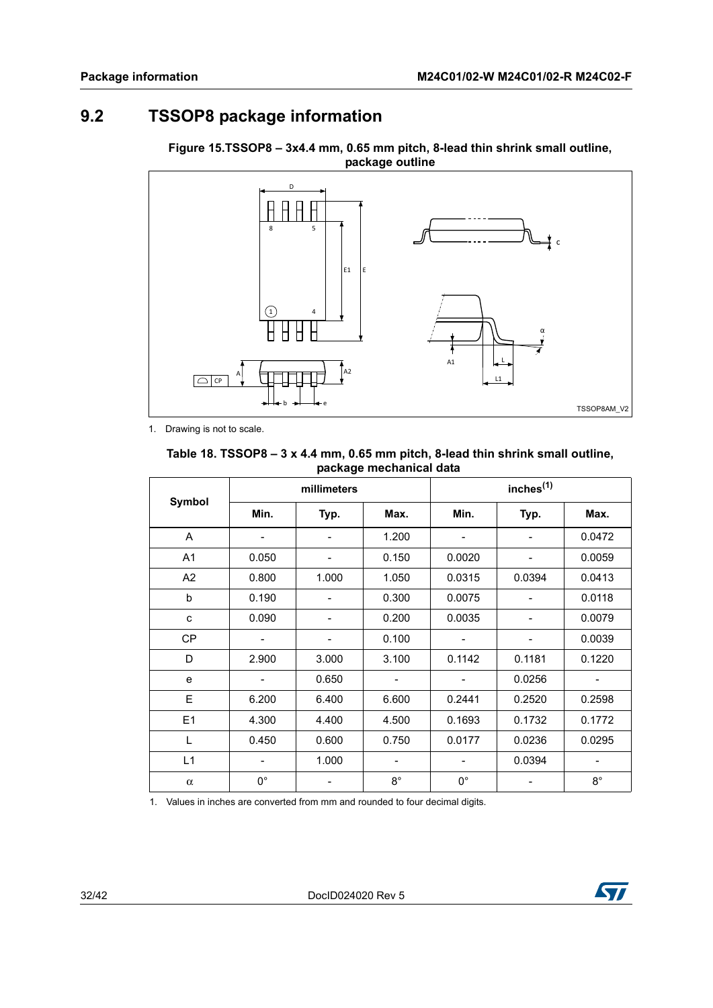# <span id="page-31-0"></span>**9.2 TSSOP8 package information**



<span id="page-31-2"></span>**Figure 15.TSSOP8 – 3x4.4 mm, 0.65 mm pitch, 8-lead thin shrink small outline, package outline**

1. Drawing is not to scale.

#### <span id="page-31-1"></span>**Table 18. TSSOP8 – 3 x 4.4 mm, 0.65 mm pitch, 8-lead thin shrink small outline, package mechanical data**

|                | millimeters |       |                          | inches <sup>(1)</sup> |                |                          |
|----------------|-------------|-------|--------------------------|-----------------------|----------------|--------------------------|
| Symbol         | Min.        | Typ.  | Max.                     | Min.                  | Typ.           | Max.                     |
| A              |             |       | 1.200                    |                       | $\overline{a}$ | 0.0472                   |
| A <sub>1</sub> | 0.050       |       | 0.150                    | 0.0020                |                | 0.0059                   |
| A <sub>2</sub> | 0.800       | 1.000 | 1.050                    | 0.0315                | 0.0394         | 0.0413                   |
| b              | 0.190       |       | 0.300                    | 0.0075                |                | 0.0118                   |
| C              | 0.090       |       | 0.200                    | 0.0035                |                | 0.0079                   |
| <b>CP</b>      |             |       | 0.100                    |                       |                | 0.0039                   |
| D              | 2.900       | 3.000 | 3.100                    | 0.1142                | 0.1181         | 0.1220                   |
| e              | -           | 0.650 | $\overline{\phantom{0}}$ |                       | 0.0256         | $\overline{\phantom{a}}$ |
| E              | 6.200       | 6.400 | 6.600                    | 0.2441                | 0.2520         | 0.2598                   |
| E1             | 4.300       | 4.400 | 4.500                    | 0.1693                | 0.1732         | 0.1772                   |
| L              | 0.450       | 0.600 | 0.750                    | 0.0177                | 0.0236         | 0.0295                   |
| L1             |             | 1.000 | -                        |                       | 0.0394         | $\overline{\phantom{a}}$ |
| $\alpha$       | $0^{\circ}$ |       | $8^{\circ}$              | $0^{\circ}$           |                | $8^\circ$                |

1. Values in inches are converted from mm and rounded to four decimal digits.

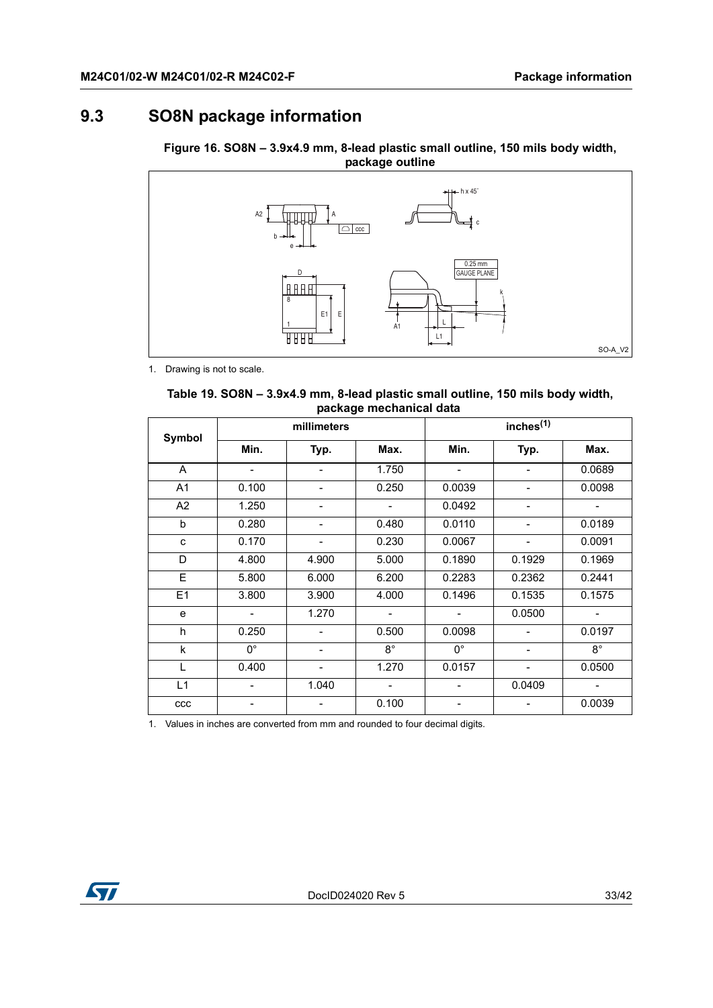# <span id="page-32-0"></span>**9.3 SO8N package information**

<span id="page-32-2"></span>**Figure 16. SO8N – 3.9x4.9 mm, 8-lead plastic small outline, 150 mils body width, package outline**



1. Drawing is not to scale.

<span id="page-32-1"></span>

| Table 19. SO8N – 3.9x4.9 mm, 8-lead plastic small outline, 150 mils body width, |  |
|---------------------------------------------------------------------------------|--|
| package mechanical data                                                         |  |

| Symbol         | millimeters |                          |                          | inches <sup>(1)</sup> |                              |                          |
|----------------|-------------|--------------------------|--------------------------|-----------------------|------------------------------|--------------------------|
|                | Min.        | Typ.                     | Max.                     | Min.                  | Typ.                         | Max.                     |
| A              |             | $\overline{\phantom{a}}$ | 1.750                    |                       |                              | 0.0689                   |
| A <sub>1</sub> | 0.100       | $\overline{\phantom{a}}$ | 0.250                    | 0.0039                | $\overline{\phantom{a}}$     | 0.0098                   |
| A <sub>2</sub> | 1.250       | $\overline{\phantom{a}}$ |                          | 0.0492                | $\overline{\phantom{a}}$     |                          |
| b              | 0.280       | $\overline{\phantom{0}}$ | 0.480                    | 0.0110                | $\overline{a}$               | 0.0189                   |
| C              | 0.170       | $\overline{\phantom{a}}$ | 0.230                    | 0.0067                |                              | 0.0091                   |
| D              | 4.800       | 4.900                    | 5.000                    | 0.1890                | 0.1929                       | 0.1969                   |
| E              | 5.800       | 6.000                    | 6.200                    | 0.2283                | 0.2362                       | 0.2441                   |
| E1             | 3.800       | 3.900                    | 4.000                    | 0.1496                | 0.1535                       | 0.1575                   |
| e              |             | 1.270                    | $\blacksquare$           |                       | 0.0500                       | $\overline{\phantom{a}}$ |
| h              | 0.250       |                          | 0.500                    | 0.0098                |                              | 0.0197                   |
| k              | $0^{\circ}$ | $\overline{\phantom{a}}$ | $8^{\circ}$              | $0^{\circ}$           | $\overline{\phantom{a}}$     | $8^{\circ}$              |
| L              | 0.400       | $\overline{\phantom{a}}$ | 1.270                    | 0.0157                | $\qquad \qquad \blacksquare$ | 0.0500                   |
| L1             |             | 1.040                    | $\overline{\phantom{0}}$ |                       | 0.0409                       | $\overline{\phantom{a}}$ |
| ccc            |             | -                        | 0.100                    |                       |                              | 0.0039                   |

1. Values in inches are converted from mm and rounded to four decimal digits.

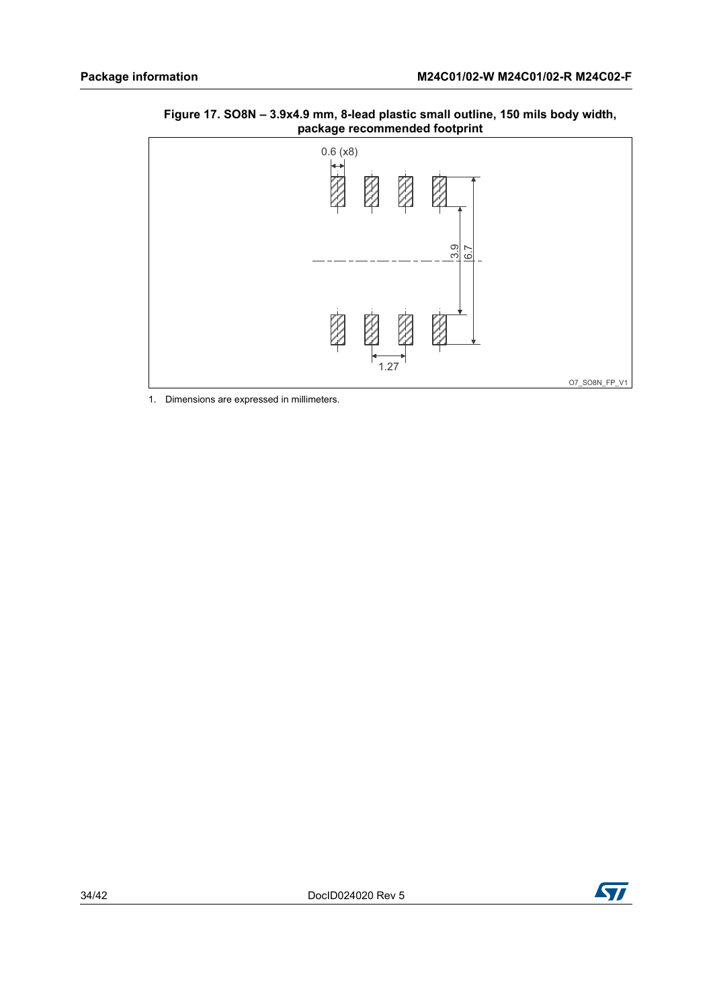<span id="page-33-0"></span>



1. Dimensions are expressed in millimeters.

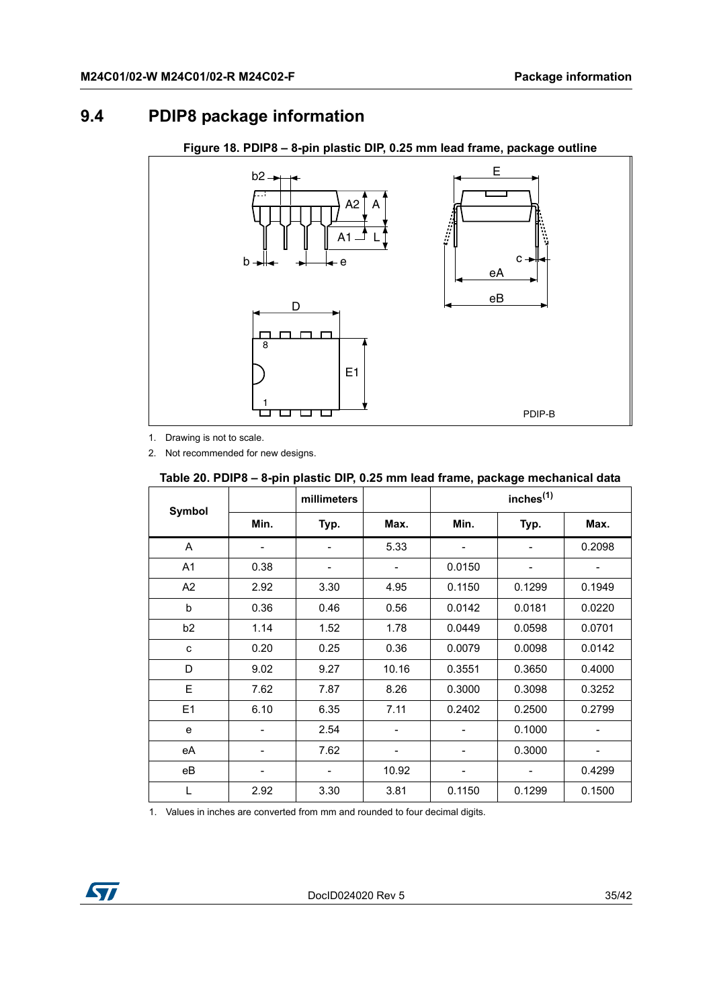# <span id="page-34-0"></span>**9.4 PDIP8 package information**

<span id="page-34-2"></span>

**Figure 18. PDIP8 – 8-pin plastic DIP, 0.25 mm lead frame, package outline**

1. Drawing is not to scale.

2. Not recommended for new designs.

#### <span id="page-34-1"></span>**Table 20. PDIP8 – 8-pin plastic DIP, 0.25 mm lead frame, package mechanical data**

|                |                              | millimeters |                              |                              | inches <sup>(1)</sup>        |        |
|----------------|------------------------------|-------------|------------------------------|------------------------------|------------------------------|--------|
| <b>Symbol</b>  | Min.                         | Typ.        | Max.                         | Min.                         | Typ.                         | Max.   |
| A              | $\qquad \qquad \blacksquare$ | -           | 5.33                         | $\qquad \qquad \blacksquare$ | $\qquad \qquad \blacksquare$ | 0.2098 |
| A1             | 0.38                         |             | $\overline{\phantom{a}}$     | 0.0150                       | -                            |        |
| A2             | 2.92                         | 3.30        | 4.95                         | 0.1150                       | 0.1299                       | 0.1949 |
| b              | 0.36                         | 0.46        | 0.56                         | 0.0142                       | 0.0181                       | 0.0220 |
| b <sub>2</sub> | 1.14                         | 1.52        | 1.78                         | 0.0449                       | 0.0598                       | 0.0701 |
| C              | 0.20                         | 0.25        | 0.36                         | 0.0079                       | 0.0098                       | 0.0142 |
| D              | 9.02                         | 9.27        | 10.16                        | 0.3551                       | 0.3650                       | 0.4000 |
| E              | 7.62                         | 7.87        | 8.26                         | 0.3000                       | 0.3098                       | 0.3252 |
| E1             | 6.10                         | 6.35        | 7.11                         | 0.2402                       | 0.2500                       | 0.2799 |
| e              |                              | 2.54        | -                            |                              | 0.1000                       |        |
| eA             |                              | 7.62        | $\qquad \qquad \blacksquare$ |                              | 0.3000                       |        |
| eB             |                              | -           | 10.92                        | $\qquad \qquad \blacksquare$ | -                            | 0.4299 |
| L              | 2.92                         | 3.30        | 3.81                         | 0.1150                       | 0.1299                       | 0.1500 |

1. Values in inches are converted from mm and rounded to four decimal digits.

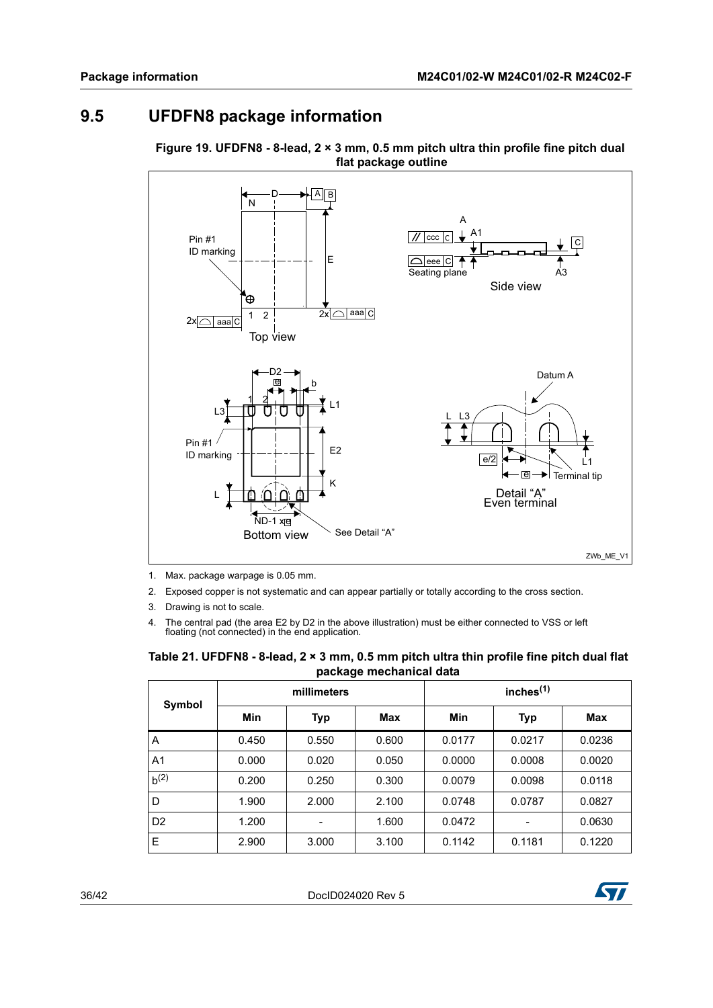# <span id="page-35-0"></span>**9.5 UFDFN8 package information**

<span id="page-35-2"></span>



1. Max. package warpage is 0.05 mm.

- 2. Exposed copper is not systematic and can appear partially or totally according to the cross section.
- 3. Drawing is not to scale.
- 4. The central pad (the area E2 by D2 in the above illustration) must be either connected to VSS or left floating (not connected) in the end application.

<span id="page-35-1"></span>

| Table 21. UFDFN8 - 8-lead, $2 \times 3$ mm, 0.5 mm pitch ultra thin profile fine pitch dual flat |              |  |  |  |
|--------------------------------------------------------------------------------------------------|--------------|--|--|--|
| package mechanical data                                                                          |              |  |  |  |
| millimeters                                                                                      | inches $(1)$ |  |  |  |

| Symbol         | millimeters |            |            | inches $(1)$ |        |        |
|----------------|-------------|------------|------------|--------------|--------|--------|
|                | Min         | <b>Typ</b> | <b>Max</b> | Min          | Typ    | Max    |
| $\overline{A}$ | 0.450       | 0.550      | 0.600      | 0.0177       | 0.0217 | 0.0236 |
| A <sub>1</sub> | 0.000       | 0.020      | 0.050      | 0.0000       | 0.0008 | 0.0020 |
| $b^{(2)}$      | 0.200       | 0.250      | 0.300      | 0.0079       | 0.0098 | 0.0118 |
| D              | 1.900       | 2.000      | 2.100      | 0.0748       | 0.0787 | 0.0827 |
| D <sub>2</sub> | 1.200       |            | 1.600      | 0.0472       |        | 0.0630 |
| E              | 2.900       | 3.000      | 3.100      | 0.1142       | 0.1181 | 0.1220 |

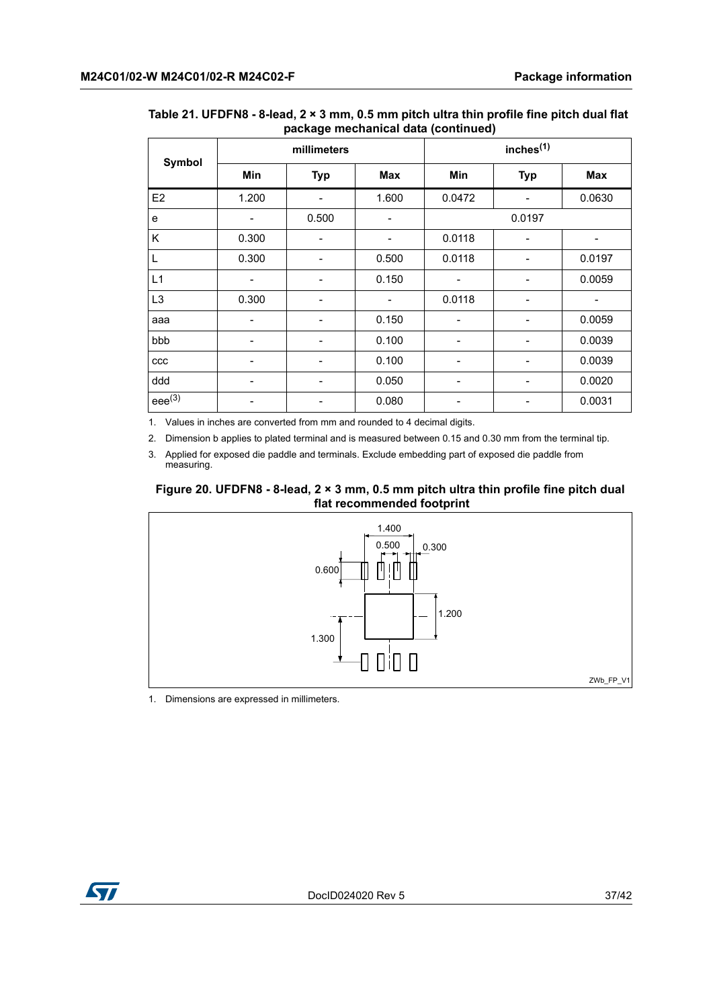| Symbol         | ┏<br>---- g<br>millimeters   |                          |                          | ----<br>inches <sup>(1)</sup> |                 |                          |
|----------------|------------------------------|--------------------------|--------------------------|-------------------------------|-----------------|--------------------------|
|                | Min                          | <b>Typ</b>               | Max                      | Min                           | <b>Typ</b>      | Max                      |
| E <sub>2</sub> | 1.200                        |                          | 1.600                    | 0.0472                        |                 | 0.0630                   |
| e              | -                            | 0.500                    | $\overline{\phantom{a}}$ |                               | 0.0197          |                          |
| Κ              | 0.300                        |                          | -                        | 0.0118                        |                 |                          |
| L              | 0.300                        | $\overline{\phantom{0}}$ | 0.500                    | 0.0118                        |                 | 0.0197                   |
| L1             |                              |                          | 0.150                    |                               |                 | 0.0059                   |
| L <sub>3</sub> | 0.300                        | $\overline{\phantom{0}}$ | $\overline{\phantom{a}}$ | 0.0118                        | $\qquad \qquad$ | $\overline{\phantom{a}}$ |
| aaa            | $\overline{\phantom{a}}$     |                          | 0.150                    |                               |                 | 0.0059                   |
| bbb            |                              |                          | 0.100                    |                               |                 | 0.0039                   |
| ccc            | -                            |                          | 0.100                    | -                             |                 | 0.0039                   |
| ddd            | $\qquad \qquad \blacksquare$ |                          | 0.050                    |                               |                 | 0.0020                   |
| $eee^{(3)}$    | -                            | $\overline{\phantom{a}}$ | 0.080                    |                               |                 | 0.0031                   |

#### **Table 21. UFDFN8 - 8-lead, 2 × 3 mm, 0.5 mm pitch ultra thin profile fine pitch dual flat package mechanical data (continued)**

1. Values in inches are converted from mm and rounded to 4 decimal digits.

2. Dimension b applies to plated terminal and is measured between 0.15 and 0.30 mm from the terminal tip.

3. Applied for exposed die paddle and terminals. Exclude embedding part of exposed die paddle from measuring.

#### <span id="page-36-0"></span>**Figure 20. UFDFN8 - 8-lead, 2 × 3 mm, 0.5 mm pitch ultra thin profile fine pitch dual flat recommended footprint**



1. Dimensions are expressed in millimeters.

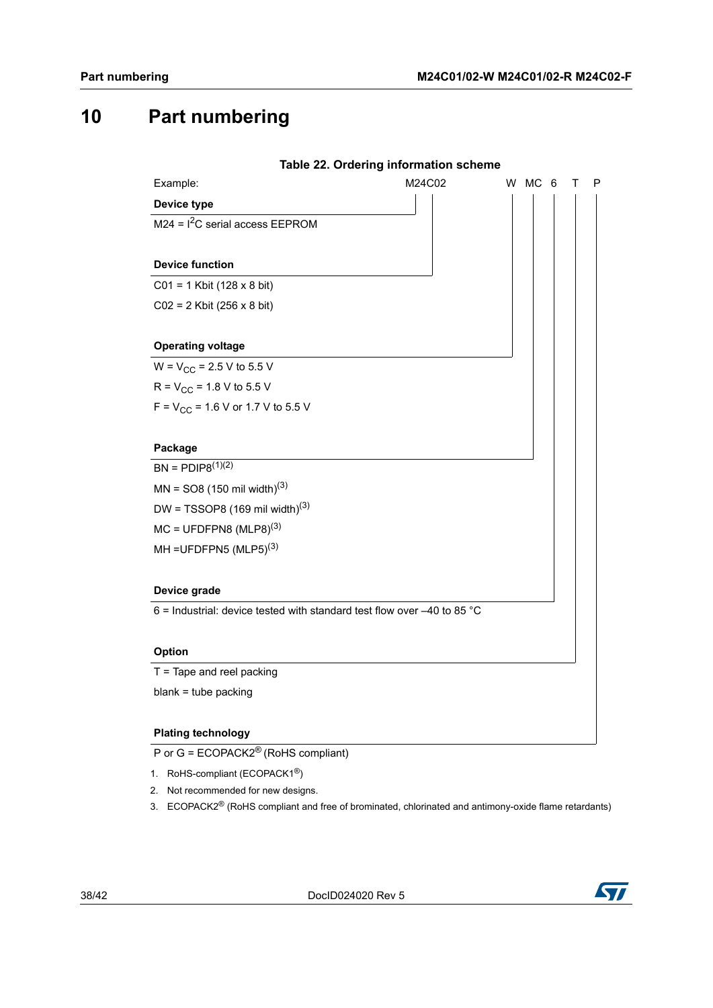# <span id="page-37-0"></span>**10 Part numbering**

<span id="page-37-1"></span>

|                                                                           | Table 22. Ordering information scheme |             |
|---------------------------------------------------------------------------|---------------------------------------|-------------|
| Example:                                                                  | M24C02                                | W MC 6<br>т |
| Device type                                                               |                                       |             |
| $M24 = I2C$ serial access EEPROM                                          |                                       |             |
|                                                                           |                                       |             |
| <b>Device function</b>                                                    |                                       |             |
| $CO1 = 1$ Kbit (128 x 8 bit)                                              |                                       |             |
| $CO2 = 2$ Kbit (256 x 8 bit)                                              |                                       |             |
|                                                                           |                                       |             |
| <b>Operating voltage</b>                                                  |                                       |             |
| $W = V_{CC} = 2.5 V$ to 5.5 V                                             |                                       |             |
| $R = V_{CC} = 1.8 V$ to 5.5 V                                             |                                       |             |
| $F = V_{CC} = 1.6 V$ or 1.7 V to 5.5 V                                    |                                       |             |
|                                                                           |                                       |             |
| Package                                                                   |                                       |             |
| $BN = PDIP8^{(1)(2)}$                                                     |                                       |             |
| $MN = SO8 (150 \text{ mil width})^{(3)}$                                  |                                       |             |
| DW = TSSOP8 $(169 \text{ mil width})^{(3)}$                               |                                       |             |
| $MC = UFDFPN8 (MLP8)^{(3)}$                                               |                                       |             |
| MH = UFDFPN5 $(MLP5)^{(3)}$                                               |                                       |             |
|                                                                           |                                       |             |
| Device grade                                                              |                                       |             |
| 6 = Industrial: device tested with standard test flow over $-40$ to 85 °C |                                       |             |
|                                                                           |                                       |             |
| <b>Option</b>                                                             |                                       |             |
|                                                                           |                                       |             |
| $T =$ Tape and reel packing                                               |                                       |             |

P or G = ECOPACK2® (RoHS compliant)

- 1. RoHS-compliant (ECOPACK1®)
- 2. Not recommended for new designs.
- 3. ECOPACK2<sup>®</sup> (RoHS compliant and free of brominated, chlorinated and antimony-oxide flame retardants)

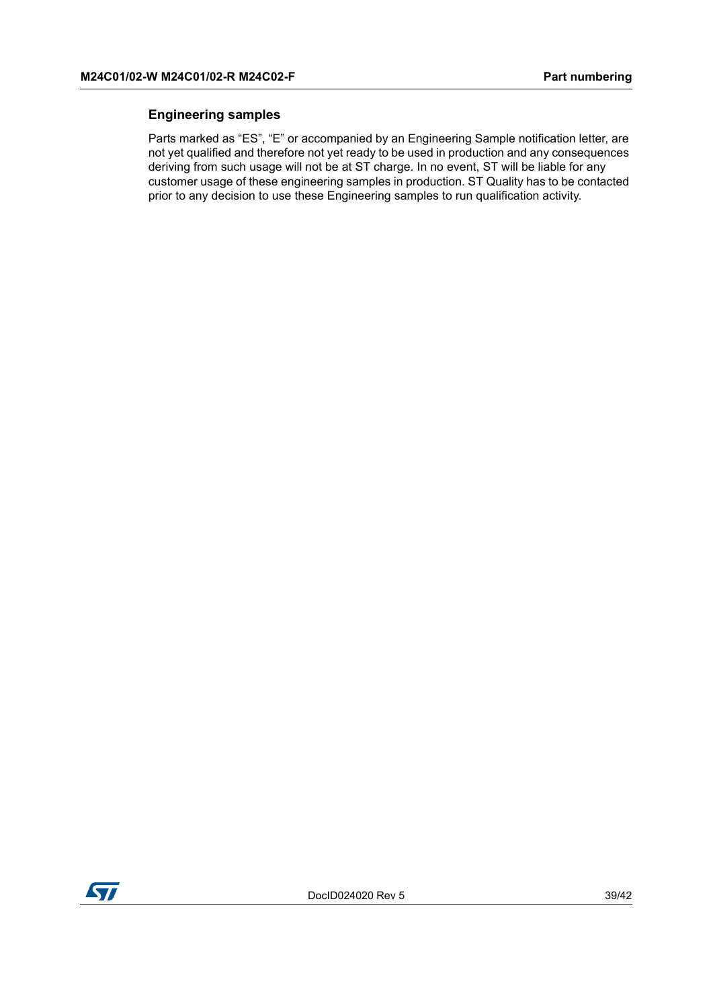#### **Engineering samples**

Parts marked as "ES", "E" or accompanied by an Engineering Sample notification letter, are not yet qualified and therefore not yet ready to be used in production and any consequences deriving from such usage will not be at ST charge. In no event, ST will be liable for any customer usage of these engineering samples in production. ST Quality has to be contacted prior to any decision to use these Engineering samples to run qualification activity.

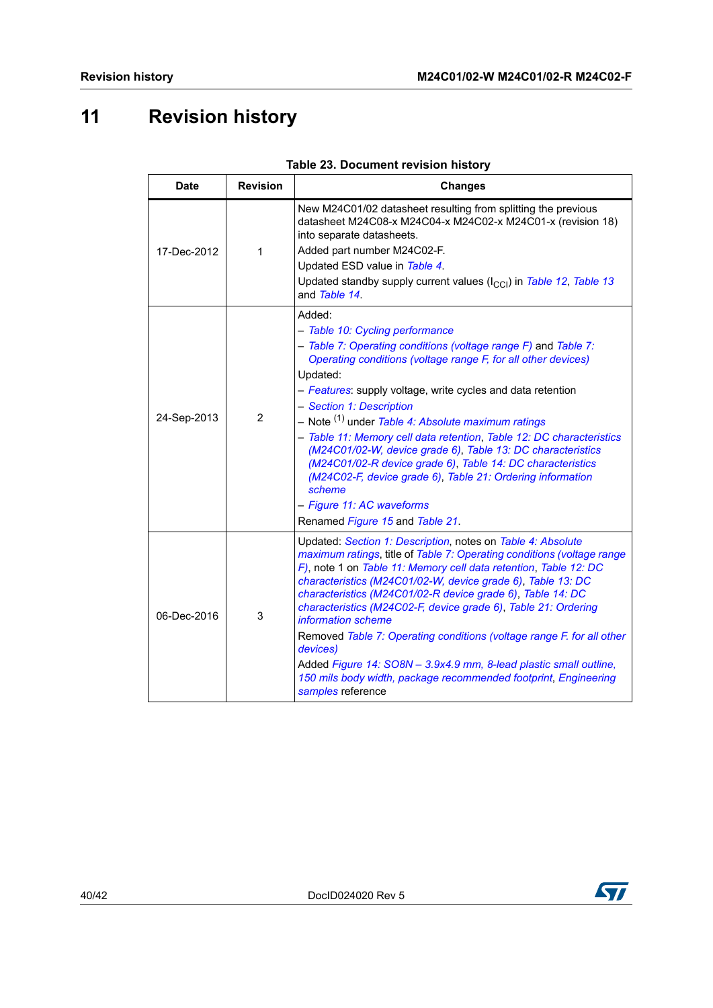# <span id="page-39-0"></span>**11 Revision history**

<span id="page-39-1"></span>

| <b>Date</b> | <b>Revision</b> | <b>Changes</b>                                                                                                                                                                                                                                                                                                                                                                                                                                                                                                                                                                                                                                                                                    |  |
|-------------|-----------------|---------------------------------------------------------------------------------------------------------------------------------------------------------------------------------------------------------------------------------------------------------------------------------------------------------------------------------------------------------------------------------------------------------------------------------------------------------------------------------------------------------------------------------------------------------------------------------------------------------------------------------------------------------------------------------------------------|--|
| 17-Dec-2012 | 1               | New M24C01/02 datasheet resulting from splitting the previous<br>datasheet M24C08-x M24C04-x M24C02-x M24C01-x (revision 18)<br>into separate datasheets.<br>Added part number M24C02-F.<br>Updated ESD value in Table 4.<br>Updated standby supply current values (I <sub>CCI</sub> ) in Table 12, Table 13<br>and Table 14.                                                                                                                                                                                                                                                                                                                                                                     |  |
| 24-Sep-2013 | 2               | Added:<br>- Table 10: Cycling performance<br>- Table 7: Operating conditions (voltage range F) and Table 7:<br>Operating conditions (voltage range F, for all other devices)<br>Updated:<br>- Features: supply voltage, write cycles and data retention<br>- Section 1: Description<br>- Note <sup>(1)</sup> under Table 4: Absolute maximum ratings<br>- Table 11: Memory cell data retention, Table 12: DC characteristics<br>(M24C01/02-W, device grade 6), Table 13: DC characteristics<br>(M24C01/02-R device grade 6), Table 14: DC characteristics<br>(M24C02-F, device grade 6), Table 21: Ordering information<br>scheme<br>- Figure 11: AC waveforms<br>Renamed Figure 15 and Table 21. |  |
| 06-Dec-2016 | 3               | Updated: Section 1: Description, notes on Table 4: Absolute<br>maximum ratings, title of Table 7: Operating conditions (voltage range<br>F), note 1 on Table 11: Memory cell data retention, Table 12: DC<br>characteristics (M24C01/02-W, device grade 6), Table 13: DC<br>characteristics (M24C01/02-R device grade 6), Table 14: DC<br>characteristics (M24C02-F, device grade 6), Table 21: Ordering<br>information scheme<br>Removed Table 7: Operating conditions (voltage range F. for all other<br>devices)<br>Added Figure 14: SO8N - 3.9x4.9 mm, 8-lead plastic small outline,<br>150 mils body width, package recommended footprint, Engineering<br>samples reference                  |  |

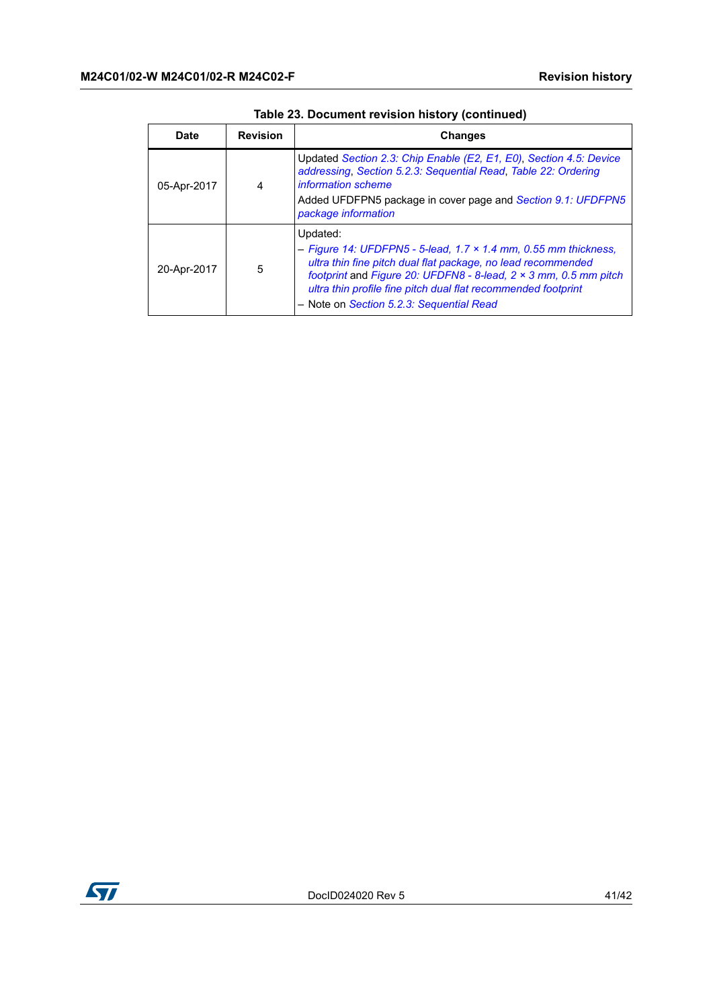| <b>Date</b> | <b>Revision</b> | <b>Changes</b>                                                                                                                                                                                                                                                                                                                             |
|-------------|-----------------|--------------------------------------------------------------------------------------------------------------------------------------------------------------------------------------------------------------------------------------------------------------------------------------------------------------------------------------------|
| 05-Apr-2017 | 4               | Updated Section 2.3: Chip Enable (E2, E1, E0), Section 4.5: Device<br>addressing, Section 5.2.3: Sequential Read, Table 22: Ordering<br>information scheme<br>Added UFDFPN5 package in cover page and Section 9.1: UFDFPN5<br>package information                                                                                          |
| 20-Apr-2017 | 5               | Updated:<br>- Figure 14: UFDFPN5 - 5-lead, 1.7 $\times$ 1.4 mm, 0.55 mm thickness,<br>ultra thin fine pitch dual flat package, no lead recommended<br>footprint and Figure 20: UFDFN8 - 8-lead, $2 \times 3$ mm, 0.5 mm pitch<br>ultra thin profile fine pitch dual flat recommended footprint<br>- Note on Section 5.2.3: Sequential Read |

**Table 23. Document revision history (continued)**